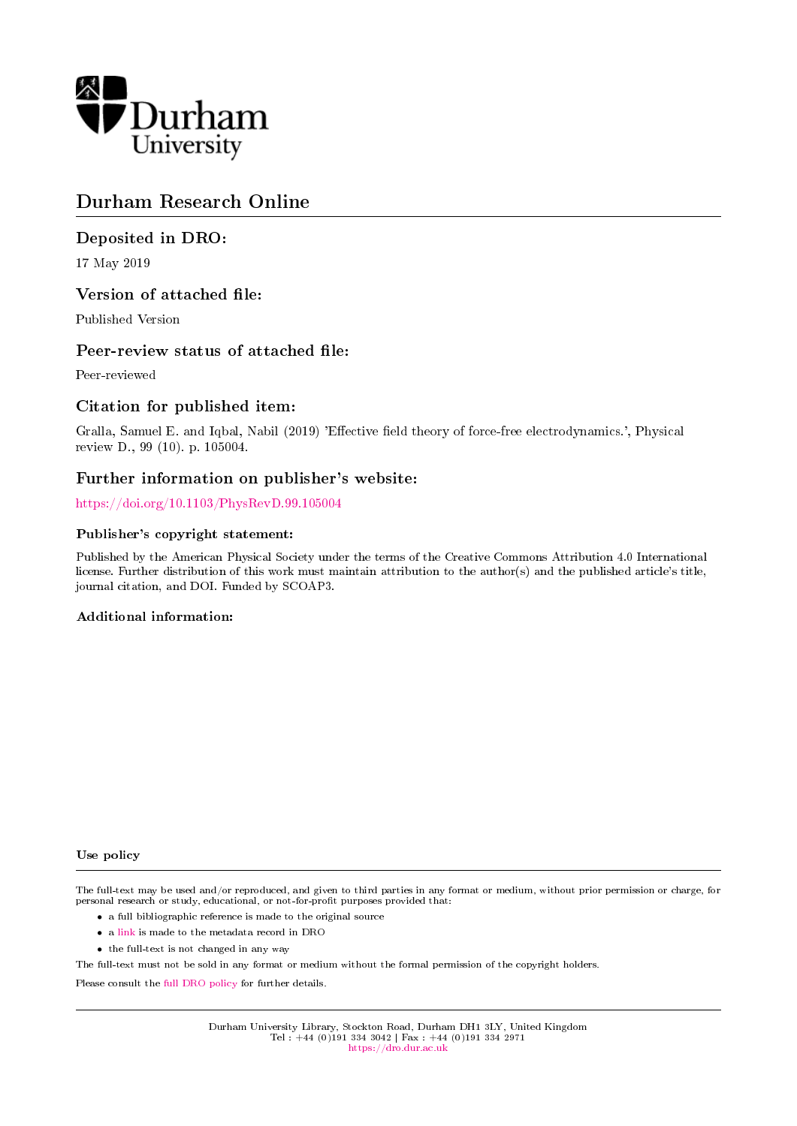

# Durham Research Online

## Deposited in DRO:

17 May 2019

## Version of attached file:

Published Version

## Peer-review status of attached file:

Peer-reviewed

## Citation for published item:

Gralla, Samuel E. and Iqbal, Nabil (2019) 'Effective field theory of force-free electrodynamics.', Physical review D., 99 (10). p. 105004.

## Further information on publisher's website:

<https://doi.org/10.1103/PhysRevD.99.105004>

## Publisher's copyright statement:

Published by the American Physical Society under the terms of the Creative Commons Attribution 4.0 International license. Further distribution of this work must maintain attribution to the author(s) and the published article's title, journal citation, and DOI. Funded by SCOAP3.

## Additional information:

### Use policy

The full-text may be used and/or reproduced, and given to third parties in any format or medium, without prior permission or charge, for personal research or study, educational, or not-for-profit purposes provided that:

- a full bibliographic reference is made to the original source
- a [link](http://dro.dur.ac.uk/28179/) is made to the metadata record in DRO
- the full-text is not changed in any way

The full-text must not be sold in any format or medium without the formal permission of the copyright holders.

Please consult the [full DRO policy](https://dro.dur.ac.uk/policies/usepolicy.pdf) for further details.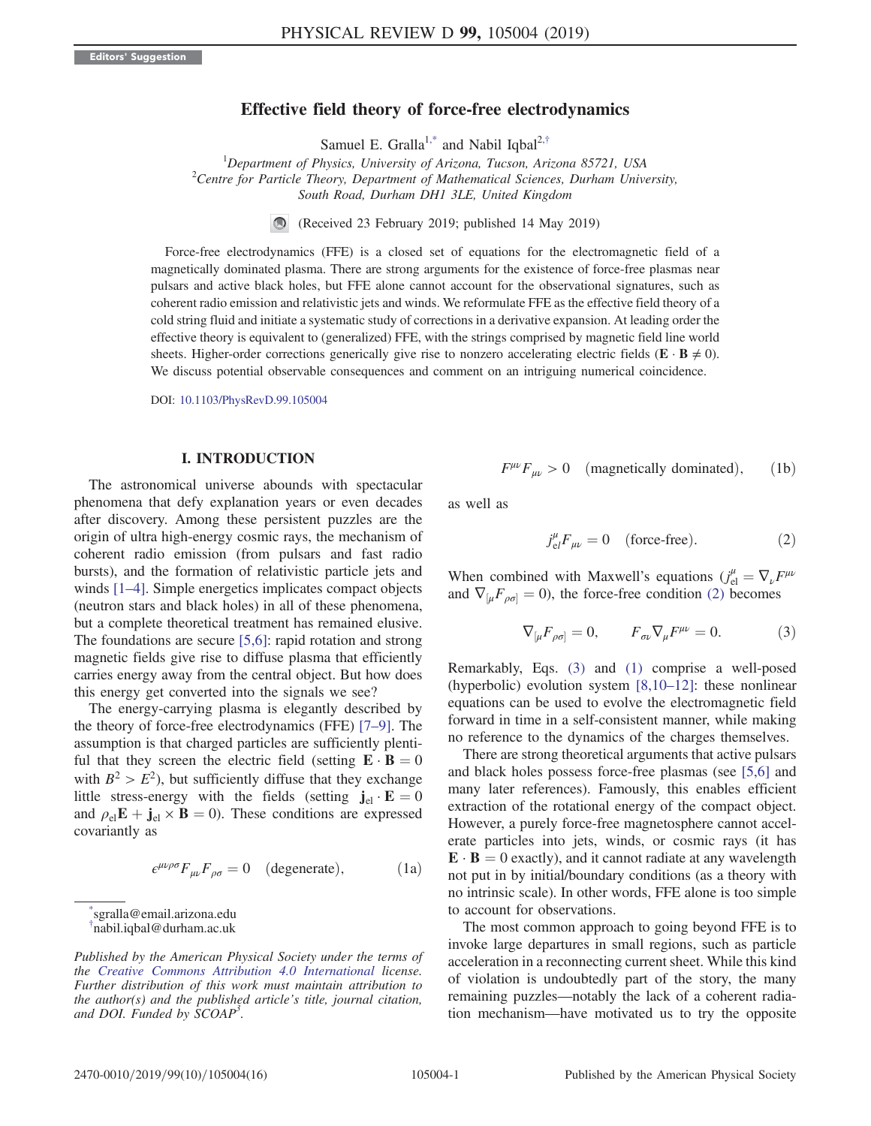## Effective field theory of force-free electrodynamics

Samuel E. Gralla<sup>[1,\\*](#page-1-0)</sup> and Nabil Iqbal<sup>2,[†](#page-1-1)</sup>

<span id="page-1-4"></span><sup>1</sup>Department of Physics, University of Arizona, Tucson, Arizona 85721, USA<br><sup>2</sup>Centre for Bartiele Theory, Dangetwent of Mathematical Sciences, Durham Univ.  $^{2}$ Centre for Particle Theory, Department of Mathematical Sciences, Durham University, South Road, Durham DH1 3LE, United Kingdom

> (Received 23 February 2019; published 14 May 2019)  $\bigcirc$

Force-free electrodynamics (FFE) is a closed set of equations for the electromagnetic field of a magnetically dominated plasma. There are strong arguments for the existence of force-free plasmas near pulsars and active black holes, but FFE alone cannot account for the observational signatures, such as coherent radio emission and relativistic jets and winds. We reformulate FFE as the effective field theory of a cold string fluid and initiate a systematic study of corrections in a derivative expansion. At leading order the effective theory is equivalent to (generalized) FFE, with the strings comprised by magnetic field line world sheets. Higher-order corrections generically give rise to nonzero accelerating electric fields ( $\mathbf{E} \cdot \mathbf{B} \neq 0$ ). We discuss potential observable consequences and comment on an intriguing numerical coincidence.

DOI: [10.1103/PhysRevD.99.105004](https://doi.org/10.1103/PhysRevD.99.105004)

#### I. INTRODUCTION

The astronomical universe abounds with spectacular phenomena that defy explanation years or even decades after discovery. Among these persistent puzzles are the origin of ultra high-energy cosmic rays, the mechanism of coherent radio emission (from pulsars and fast radio bursts), and the formation of relativistic particle jets and winds [1–[4\]](#page-15-0). Simple energetics implicates compact objects (neutron stars and black holes) in all of these phenomena, but a complete theoretical treatment has remained elusive. The foundations are secure [\[5,6\]:](#page-15-1) rapid rotation and strong magnetic fields give rise to diffuse plasma that efficiently carries energy away from the central object. But how does this energy get converted into the signals we see?

The energy-carrying plasma is elegantly described by the theory of force-free electrodynamics (FFE) [7–[9\].](#page-15-2) The assumption is that charged particles are sufficiently plentiful that they screen the electric field (setting  $\mathbf{E} \cdot \mathbf{B} = 0$ with  $B^2 > E^2$ , but sufficiently diffuse that they exchange little stress-energy with the fields (setting  $\mathbf{j}_{el} \cdot \mathbf{E} = 0$ and  $\rho_{el}E + j_{el} \times B = 0$ ). These conditions are expressed covariantly as

<span id="page-1-6"></span>
$$
\epsilon^{\mu\nu\rho\sigma} F_{\mu\nu} F_{\rho\sigma} = 0 \quad \text{(degenerate)}, \tag{1a}
$$

<span id="page-1-1"></span><span id="page-1-0"></span>[\\*](#page-1-4) sgralla@email.arizona.edu [†](#page-1-4) nabil.iqbal@durham.ac.uk

<span id="page-1-5"></span>
$$
F^{\mu\nu}F_{\mu\nu} > 0 \quad (magnetically dominated), \qquad (1b)
$$

<span id="page-1-2"></span>as well as

$$
j_{el}^{\mu}F_{\mu\nu} = 0 \quad \text{(force-free)}.
$$
 (2)

<span id="page-1-3"></span>When combined with Maxwell's equations  $(j^{\mu}_{el} = \nabla_{\nu} F^{\mu\nu})$ and  $\nabla_{\mu} F_{\rho \sigma} = 0$ , the force-free condition [\(2\)](#page-1-2) becomes

$$
\nabla_{\left[\mu} F_{\rho \sigma\right]} = 0, \qquad F_{\sigma\nu} \nabla_{\mu} F^{\mu\nu} = 0. \tag{3}
$$

Remarkably, Eqs. [\(3\)](#page-1-3) and [\(1\)](#page-11-0) comprise a well-posed (hyperbolic) evolution system [\[8,10](#page-15-3)–12]: these nonlinear equations can be used to evolve the electromagnetic field forward in time in a self-consistent manner, while making no reference to the dynamics of the charges themselves.

There are strong theoretical arguments that active pulsars and black holes possess force-free plasmas (see [\[5,6\]](#page-15-1) and many later references). Famously, this enables efficient extraction of the rotational energy of the compact object. However, a purely force-free magnetosphere cannot accelerate particles into jets, winds, or cosmic rays (it has  $\mathbf{E} \cdot \mathbf{B} = 0$  exactly), and it cannot radiate at any wavelength not put in by initial/boundary conditions (as a theory with no intrinsic scale). In other words, FFE alone is too simple to account for observations.

The most common approach to going beyond FFE is to invoke large departures in small regions, such as particle acceleration in a reconnecting current sheet. While this kind of violation is undoubtedly part of the story, the many remaining puzzles—notably the lack of a coherent radiation mechanism—have motivated us to try the opposite

Published by the American Physical Society under the terms of the [Creative Commons Attribution 4.0 International](https://creativecommons.org/licenses/by/4.0/) license. Further distribution of this work must maintain attribution to the author(s) and the published article's title, journal citation, and DOI. Funded by SCOAP<sup>3</sup>.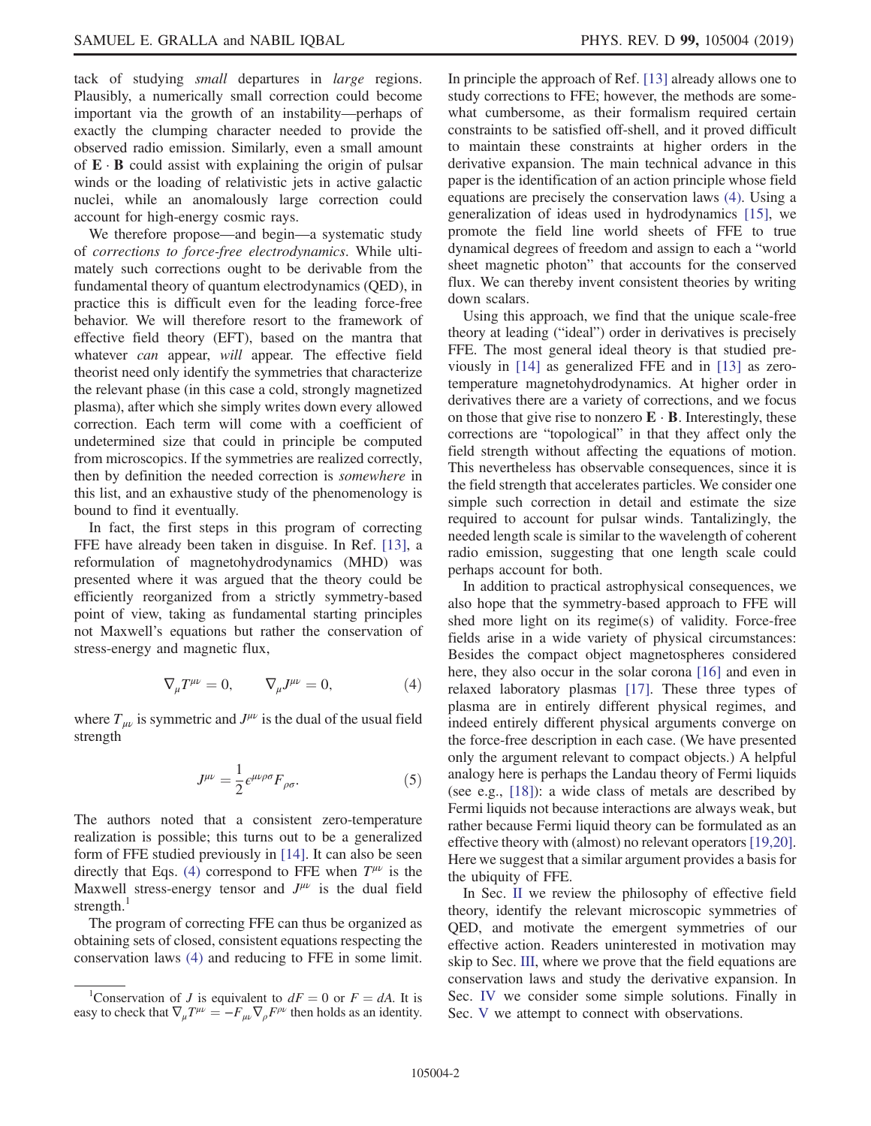tack of studying *small* departures in *large* regions. Plausibly, a numerically small correction could become important via the growth of an instability—perhaps of exactly the clumping character needed to provide the observed radio emission. Similarly, even a small amount of  $\mathbf{E} \cdot \mathbf{B}$  could assist with explaining the origin of pulsar winds or the loading of relativistic jets in active galactic nuclei, while an anomalously large correction could account for high-energy cosmic rays.

We therefore propose—and begin—a systematic study of corrections to force-free electrodynamics. While ultimately such corrections ought to be derivable from the fundamental theory of quantum electrodynamics (QED), in practice this is difficult even for the leading force-free behavior. We will therefore resort to the framework of effective field theory (EFT), based on the mantra that whatever *can* appear, *will* appear. The effective field theorist need only identify the symmetries that characterize the relevant phase (in this case a cold, strongly magnetized plasma), after which she simply writes down every allowed correction. Each term will come with a coefficient of undetermined size that could in principle be computed from microscopics. If the symmetries are realized correctly, then by definition the needed correction is somewhere in this list, and an exhaustive study of the phenomenology is bound to find it eventually.

In fact, the first steps in this program of correcting FFE have already been taken in disguise. In Ref. [\[13\],](#page-15-4) a reformulation of magnetohydrodynamics (MHD) was presented where it was argued that the theory could be efficiently reorganized from a strictly symmetry-based point of view, taking as fundamental starting principles not Maxwell's equations but rather the conservation of stress-energy and magnetic flux,

$$
\nabla_{\mu}T^{\mu\nu} = 0, \qquad \nabla_{\mu}J^{\mu\nu} = 0, \tag{4}
$$

<span id="page-2-1"></span><span id="page-2-0"></span>where  $T_{\mu\nu}$  is symmetric and  $J^{\mu\nu}$  is the dual of the usual field strength

$$
J^{\mu\nu} = \frac{1}{2} \epsilon^{\mu\nu\rho\sigma} F_{\rho\sigma}.
$$
 (5)

The authors noted that a consistent zero-temperature realization is possible; this turns out to be a generalized form of FFE studied previously in [\[14\].](#page-15-5) It can also be seen directly that Eqs. [\(4\)](#page-2-0) correspond to FFE when  $T^{\mu\nu}$  is the Maxwell stress-energy tensor and  $J^{\mu\nu}$  is the dual field strength. $<sup>1</sup>$ </sup>

The program of correcting FFE can thus be organized as obtaining sets of closed, consistent equations respecting the conservation laws [\(4\)](#page-2-0) and reducing to FFE in some limit. In principle the approach of Ref. [\[13\]](#page-15-4) already allows one to study corrections to FFE; however, the methods are somewhat cumbersome, as their formalism required certain constraints to be satisfied off-shell, and it proved difficult to maintain these constraints at higher orders in the derivative expansion. The main technical advance in this paper is the identification of an action principle whose field equations are precisely the conservation laws [\(4\)](#page-2-0). Using a generalization of ideas used in hydrodynamics [\[15\],](#page-15-6) we promote the field line world sheets of FFE to true dynamical degrees of freedom and assign to each a "world sheet magnetic photon" that accounts for the conserved flux. We can thereby invent consistent theories by writing down scalars.

Using this approach, we find that the unique scale-free theory at leading ("ideal") order in derivatives is precisely FFE. The most general ideal theory is that studied previously in [\[14\]](#page-15-5) as generalized FFE and in [\[13\]](#page-15-4) as zerotemperature magnetohydrodynamics. At higher order in derivatives there are a variety of corrections, and we focus on those that give rise to nonzero  $\mathbf{E} \cdot \mathbf{B}$ . Interestingly, these corrections are "topological" in that they affect only the field strength without affecting the equations of motion. This nevertheless has observable consequences, since it is the field strength that accelerates particles. We consider one simple such correction in detail and estimate the size required to account for pulsar winds. Tantalizingly, the needed length scale is similar to the wavelength of coherent radio emission, suggesting that one length scale could perhaps account for both.

In addition to practical astrophysical consequences, we also hope that the symmetry-based approach to FFE will shed more light on its regime(s) of validity. Force-free fields arise in a wide variety of physical circumstances: Besides the compact object magnetospheres considered here, they also occur in the solar corona [\[16\]](#page-15-7) and even in relaxed laboratory plasmas [\[17\].](#page-15-8) These three types of plasma are in entirely different physical regimes, and indeed entirely different physical arguments converge on the force-free description in each case. (We have presented only the argument relevant to compact objects.) A helpful analogy here is perhaps the Landau theory of Fermi liquids (see e.g., [\[18\]](#page-15-9)): a wide class of metals are described by Fermi liquids not because interactions are always weak, but rather because Fermi liquid theory can be formulated as an effective theory with (almost) no relevant operators [\[19,20\]](#page-15-10). Here we suggest that a similar argument provides a basis for the ubiquity of FFE.

In Sec. [II](#page-3-0) we review the philosophy of effective field theory, identify the relevant microscopic symmetries of QED, and motivate the emergent symmetries of our effective action. Readers uninterested in motivation may skip to Sec. [III](#page-5-0), where we prove that the field equations are conservation laws and study the derivative expansion. In Sec. [IV](#page-9-0) we consider some simple solutions. Finally in Sec. [V](#page-10-0) we attempt to connect with observations.

<sup>&</sup>lt;sup>1</sup>Conservation of J is equivalent to  $dF = 0$  or  $F = dA$ . It is easy to check that  $\nabla_{\mu}T^{\mu\nu} = -F_{\mu\nu}\nabla_{\rho}F^{\rho\nu}$  then holds as an identity.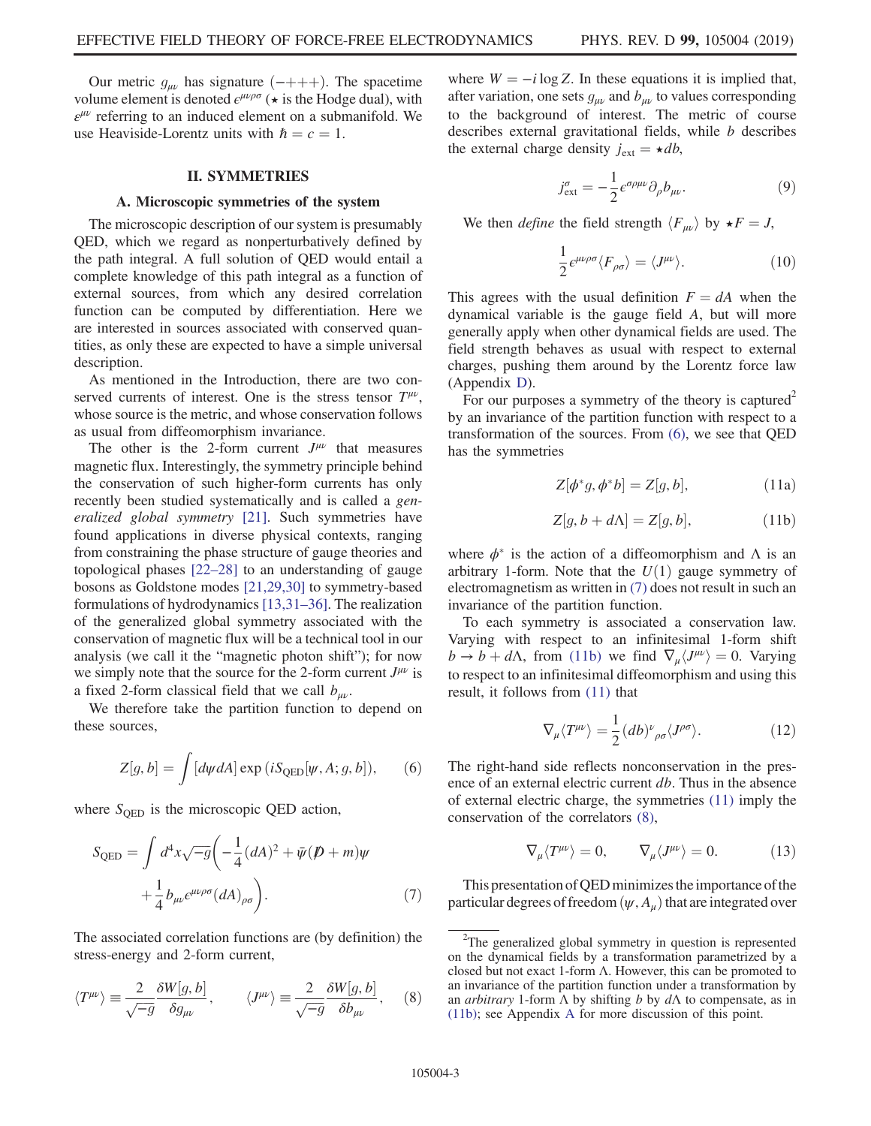Our metric  $g_{\mu\nu}$  has signature  $($ -+++). The spacetime volume element is denoted  $\epsilon^{\mu\nu\rho\sigma}$  ( $\star$  is the Hodge dual), with  $\varepsilon^{\mu\nu}$  referring to an induced element on a submanifold. We use Heaviside-Lorentz units with  $\hbar = c = 1$ .

#### II. SYMMETRIES

#### <span id="page-3-0"></span>A. Microscopic symmetries of the system

The microscopic description of our system is presumably QED, which we regard as nonperturbatively defined by the path integral. A full solution of QED would entail a complete knowledge of this path integral as a function of external sources, from which any desired correlation function can be computed by differentiation. Here we are interested in sources associated with conserved quantities, as only these are expected to have a simple universal description.

As mentioned in the Introduction, there are two conserved currents of interest. One is the stress tensor  $T^{\mu\nu}$ , whose source is the metric, and whose conservation follows as usual from diffeomorphism invariance.

The other is the 2-form current  $J^{\mu\nu}$  that measures magnetic flux. Interestingly, the symmetry principle behind the conservation of such higher-form currents has only recently been studied systematically and is called a generalized global symmetry [\[21\].](#page-15-11) Such symmetries have found applications in diverse physical contexts, ranging from constraining the phase structure of gauge theories and topological phases [\[22](#page-15-12)–28] to an understanding of gauge bosons as Goldstone modes [\[21,29,30\]](#page-15-11) to symmetry-based formulations of hydrodynamics [\[13,31](#page-15-4)–36]. The realization of the generalized global symmetry associated with the conservation of magnetic flux will be a technical tool in our analysis (we call it the "magnetic photon shift"); for now we simply note that the source for the 2-form current  $J^{\mu\nu}$  is a fixed 2-form classical field that we call  $b_{\mu\nu}$ .

<span id="page-3-1"></span>We therefore take the partition function to depend on these sources,

$$
Z[g, b] = \int [d\psi dA] \exp (iS_{\text{QED}}[\psi, A; g, b]), \qquad (6)
$$

<span id="page-3-2"></span>where  $S_{\text{ORD}}$  is the microscopic QED action,

$$
S_{\text{QED}} = \int d^4x \sqrt{-g} \left( -\frac{1}{4} (dA)^2 + \bar{\psi} (\not{D} + m) \psi + \frac{1}{4} b_{\mu\nu} \epsilon^{\mu\nu\rho\sigma} (dA)_{\rho\sigma} \right).
$$
 (7)

<span id="page-3-5"></span>The associated correlation functions are (by definition) the stress-energy and 2-form current,

$$
\langle T^{\mu\nu}\rangle \equiv \frac{2}{\sqrt{-g}} \frac{\delta W[g, b]}{\delta g_{\mu\nu}}, \qquad \langle J^{\mu\nu}\rangle \equiv \frac{2}{\sqrt{-g}} \frac{\delta W[g, b]}{\delta b_{\mu\nu}}, \quad (8)
$$

<span id="page-3-7"></span>where  $W = -i \log Z$ . In these equations it is implied that, after variation, one sets  $g_{\mu\nu}$  and  $b_{\mu\nu}$  to values corresponding to the background of interest. The metric of course describes external gravitational fields, while *b* describes the external charge density  $j_{ext} = \star db$ ,

$$
j_{\text{ext}}^{\sigma} = -\frac{1}{2} \epsilon^{\sigma \rho \mu \nu} \partial_{\rho} b_{\mu \nu}.
$$
 (9)

We then *define* the field strength  $\langle F_{\mu\nu} \rangle$  by  $\star F = J$ ,

$$
\frac{1}{2}\epsilon^{\mu\nu\rho\sigma}\langle F_{\rho\sigma}\rangle = \langle J^{\mu\nu}\rangle.
$$
 (10)

This agrees with the usual definition  $F = dA$  when the dynamical variable is the gauge field A, but will more generally apply when other dynamical fields are used. The field strength behaves as usual with respect to external charges, pushing them around by the Lorentz force law (Appendix [D\)](#page-13-0).

<span id="page-3-4"></span>For our purposes a symmetry of the theory is captured<sup>2</sup> by an invariance of the partition function with respect to a transformation of the sources. From [\(6\),](#page-3-1) we see that QED has the symmetries

$$
Z[\phi^*g, \phi^*b] = Z[g, b], \qquad (11a)
$$

$$
Z[g, b + d\Lambda] = Z[g, b], \qquad (11b)
$$

<span id="page-3-3"></span>where  $\phi^*$  is the action of a diffeomorphism and  $\Lambda$  is an arbitrary 1-form. Note that the  $U(1)$  gauge symmetry of electromagnetism as written in [\(7\)](#page-3-2) does not result in such an invariance of the partition function.

To each symmetry is associated a conservation law. Varying with respect to an infinitesimal 1-form shift  $b \to b + d\Lambda$ , from [\(11b\)](#page-3-3) we find  $\nabla_{\mu} \langle J^{\mu\nu} \rangle = 0$ . Varying to respect to an infinitesimal diffeomorphism and using this result, it follows from [\(11\)](#page-3-4) that

$$
\nabla_{\mu} \langle T^{\mu \nu} \rangle = \frac{1}{2} (db)^{\nu}{}_{\rho \sigma} \langle J^{\rho \sigma} \rangle. \tag{12}
$$

<span id="page-3-6"></span>The right-hand side reflects nonconservation in the presence of an external electric current db. Thus in the absence of external electric charge, the symmetries [\(11\)](#page-3-4) imply the conservation of the correlators [\(8\),](#page-3-5)

$$
\nabla_{\mu} \langle T^{\mu \nu} \rangle = 0, \qquad \nabla_{\mu} \langle J^{\mu \nu} \rangle = 0. \tag{13}
$$

This presentation of QED minimizes the importance of the particular degrees of freedom  $(\psi, A_\mu)$  that are integrated over

<sup>&</sup>lt;sup>2</sup>The generalized global symmetry in question is represented on the dynamical fields by a transformation parametrized by a closed but not exact 1-form  $\Lambda$ . However, this can be promoted to an invariance of the partition function under a transformation by an *arbitrary* 1-form  $\Lambda$  by shifting b by  $d\Lambda$  to compensate, as in [\(11b\)](#page-3-3); see Appendix [A](#page-11-1) for more discussion of this point.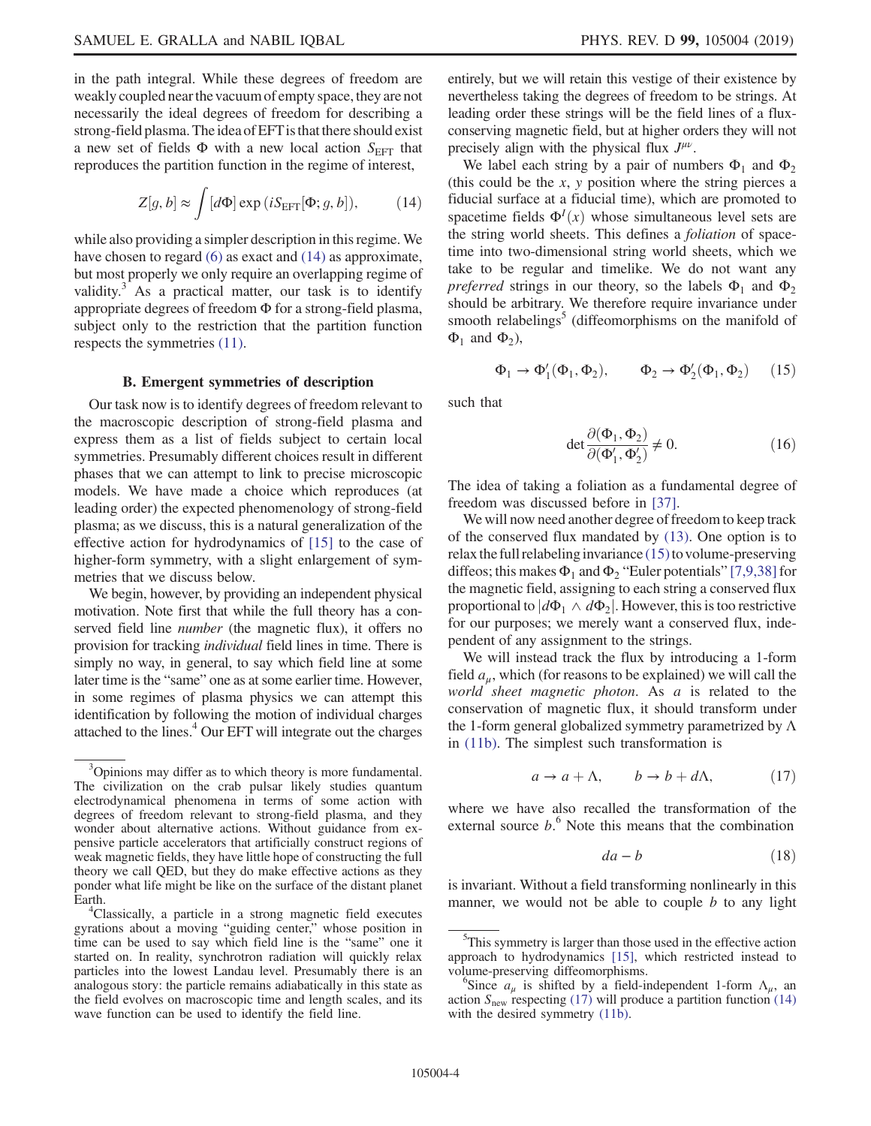in the path integral. While these degrees of freedom are weakly coupled near the vacuum of empty space, they are not necessarily the ideal degrees of freedom for describing a strong-field plasma. Theidea of EFTis that there should exist a new set of fields  $\Phi$  with a new local action  $S_{\text{EFT}}$  that reproduces the partition function in the regime of interest,

<span id="page-4-0"></span>
$$
Z[g, b] \approx \int [d\Phi] \exp(iS_{\text{EFT}}[\Phi; g, b]), \quad (14)
$$

while also providing a simpler description in this regime. We have chosen to regard [\(6\)](#page-3-1) as exact and [\(14\)](#page-4-0) as approximate, but most properly we only require an overlapping regime of validity.<sup>3</sup> As a practical matter, our task is to identify appropriate degrees of freedom Φ for a strong-field plasma, subject only to the restriction that the partition function respects the symmetries [\(11\).](#page-3-4)

### B. Emergent symmetries of description

Our task now is to identify degrees of freedom relevant to the macroscopic description of strong-field plasma and express them as a list of fields subject to certain local symmetries. Presumably different choices result in different phases that we can attempt to link to precise microscopic models. We have made a choice which reproduces (at leading order) the expected phenomenology of strong-field plasma; as we discuss, this is a natural generalization of the effective action for hydrodynamics of [\[15\]](#page-15-6) to the case of higher-form symmetry, with a slight enlargement of symmetries that we discuss below.

We begin, however, by providing an independent physical motivation. Note first that while the full theory has a conserved field line number (the magnetic flux), it offers no provision for tracking individual field lines in time. There is simply no way, in general, to say which field line at some later time is the "same" one as at some earlier time. However, in some regimes of plasma physics we can attempt this identification by following the motion of individual charges attached to the lines.<sup>4</sup> Our EFT will integrate out the charges entirely, but we will retain this vestige of their existence by nevertheless taking the degrees of freedom to be strings. At leading order these strings will be the field lines of a fluxconserving magnetic field, but at higher orders they will not precisely align with the physical flux  $J^{\mu\nu}$ .

We label each string by a pair of numbers  $\Phi_1$  and  $\Phi_2$ (this could be the  $x$ ,  $y$  position where the string pierces a fiducial surface at a fiducial time), which are promoted to spacetime fields  $\Phi^{I}(x)$  whose simultaneous level sets are the string world sheets. This defines a foliation of spacetime into two-dimensional string world sheets, which we take to be regular and timelike. We do not want any *preferred* strings in our theory, so the labels  $\Phi_1$  and  $\Phi_2$ should be arbitrary. We therefore require invariance under smooth relabelings<sup>5</sup> (diffeomorphisms on the manifold of  $\Phi_1$  and  $\Phi_2$ ),

<span id="page-4-1"></span>
$$
\Phi_1 \to \Phi'_1(\Phi_1, \Phi_2), \qquad \Phi_2 \to \Phi'_2(\Phi_1, \Phi_2) \tag{15}
$$

<span id="page-4-3"></span>such that

$$
\det \frac{\partial (\Phi_1, \Phi_2)}{\partial (\Phi'_1, \Phi'_2)} \neq 0. \tag{16}
$$

The idea of taking a foliation as a fundamental degree of freedom was discussed before in [\[37\].](#page-15-13)

We will now need another degree of freedom to keep track of the conserved flux mandated by [\(13\)](#page-3-6). One option is to relax the full relabeling invariance  $(15)$  to volume-preserving diffeos; this makes  $\Phi_1$  and  $\Phi_2$  "Euler potentials" [\[7,9,38\]](#page-15-2) for the magnetic field, assigning to each string a conserved flux proportional to  $|d\Phi_1 \wedge d\Phi_2|$ . However, this is too restrictive for our purposes; we merely want a conserved flux, independent of any assignment to the strings.

<span id="page-4-2"></span>We will instead track the flux by introducing a 1-form field  $a_{\mu}$ , which (for reasons to be explained) we will call the world sheet magnetic photon. As a is related to the conservation of magnetic flux, it should transform under the 1-form general globalized symmetry parametrized by  $\Lambda$ in [\(11b\)](#page-3-3). The simplest such transformation is

$$
a \to a + \Lambda, \qquad b \to b + d\Lambda, \tag{17}
$$

where we have also recalled the transformation of the external source  $b$ <sup>6</sup>. Note this means that the combination

$$
da - b \tag{18}
$$

is invariant. Without a field transforming nonlinearly in this manner, we would not be able to couple  $b$  to any light

<sup>&</sup>lt;sup>3</sup>Opinions may differ as to which theory is more fundamental. The civilization on the crab pulsar likely studies quantum electrodynamical phenomena in terms of some action with degrees of freedom relevant to strong-field plasma, and they wonder about alternative actions. Without guidance from expensive particle accelerators that artificially construct regions of weak magnetic fields, they have little hope of constructing the full theory we call QED, but they do make effective actions as they ponder what life might be like on the surface of the distant planet Earth.

<sup>&</sup>lt;sup>4</sup>Classically, a particle in a strong magnetic field executes gyrations about a moving "guiding center," whose position in time can be used to say which field line is the "same" one it started on. In reality, synchrotron radiation will quickly relax particles into the lowest Landau level. Presumably there is an analogous story: the particle remains adiabatically in this state as the field evolves on macroscopic time and length scales, and its wave function can be used to identify the field line.

<sup>&</sup>lt;sup>5</sup>This symmetry is larger than those used in the effective action approach to hydrodynamics [\[15\],](#page-15-6) which restricted instead to volume-preserving diffeomorphisms. <sup>6</sup>

<sup>&</sup>lt;sup>b</sup>Since  $a_{\mu}$  is shifted by a field-independent 1-form  $\Lambda_{\mu}$ , an action  $S_{\text{new}}$  respecting [\(17\)](#page-4-2) will produce a partition function [\(14\)](#page-4-0) with the desired symmetry  $(11b)$ .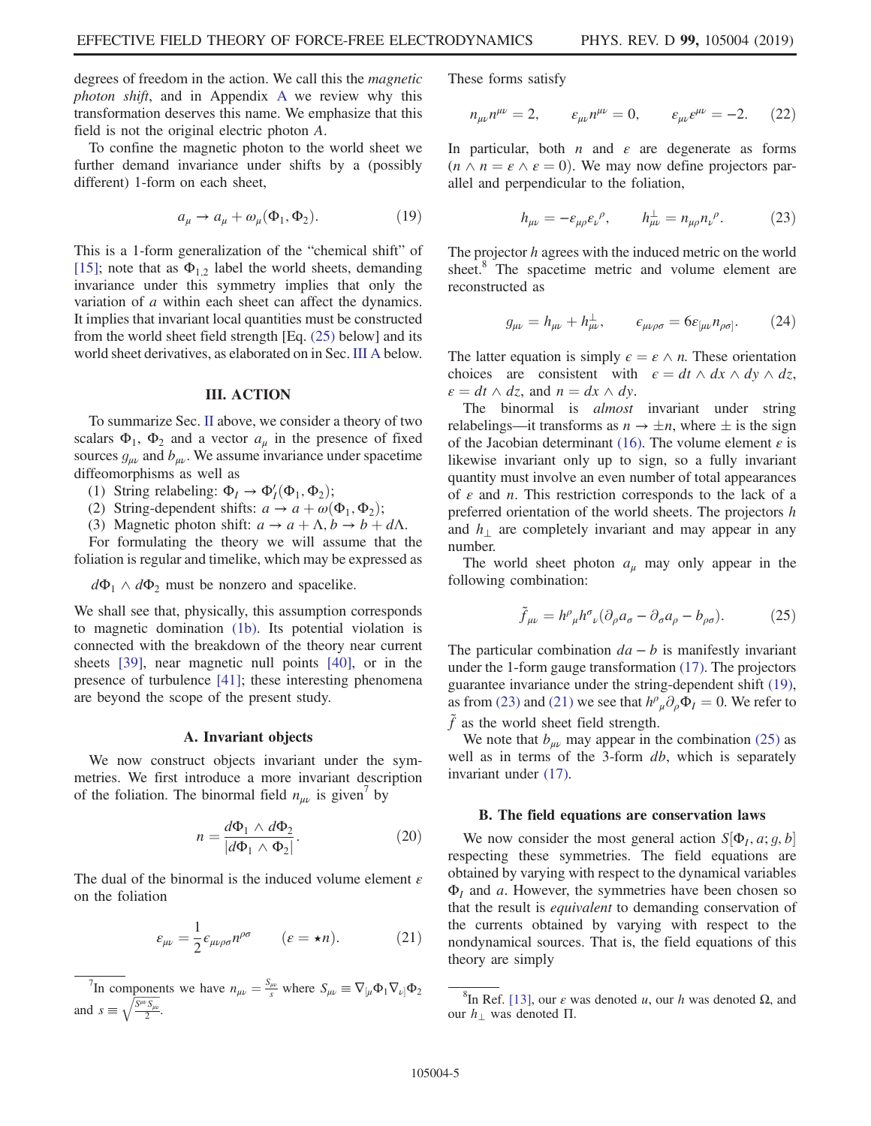degrees of freedom in the action. We call this the magnetic photon shift, and in Appendix [A](#page-11-1) we review why this transformation deserves this name. We emphasize that this field is not the original electric photon A.

<span id="page-5-3"></span>To confine the magnetic photon to the world sheet we further demand invariance under shifts by a (possibly different) 1-form on each sheet,

$$
a_{\mu} \to a_{\mu} + \omega_{\mu}(\Phi_1, \Phi_2). \tag{19}
$$

This is a 1-form generalization of the "chemical shift" of [\[15\]](#page-15-6); note that as  $\Phi_{1,2}$  label the world sheets, demanding invariance under this symmetry implies that only the variation of a within each sheet can affect the dynamics. It implies that invariant local quantities must be constructed from the world sheet field strength [Eq. [\(25\)](#page-5-1) below] and its world sheet derivatives, as elaborated on in Sec. [III A](#page-5-2) below.

#### III. ACTION

<span id="page-5-0"></span>To summarize Sec. [II](#page-3-0) above, we consider a theory of two scalars  $\Phi_1$ ,  $\Phi_2$  and a vector  $a_\mu$  in the presence of fixed sources  $g_{\mu\nu}$  and  $b_{\mu\nu}$ . We assume invariance under spacetime diffeomorphisms as well as

(1) String relabeling:  $\Phi_I \rightarrow \Phi'_I(\Phi_1, \Phi_2)$ ;

(2) String-dependent shifts:  $a \rightarrow a + \omega(\Phi_1, \Phi_2)$ ;

(3) Magnetic photon shift:  $a \to a + \Lambda$ ,  $b \to b + d\Lambda$ .

For formulating the theory we will assume that the foliation is regular and timelike, which may be expressed as

 $d\Phi_1 \wedge d\Phi_2$  must be nonzero and spacelike.

We shall see that, physically, this assumption corresponds to magnetic domination [\(1b\)](#page-1-5). Its potential violation is connected with the breakdown of the theory near current sheets [\[39\],](#page-15-14) near magnetic null points [\[40\]](#page-15-15), or in the presence of turbulence [\[41\];](#page-15-16) these interesting phenomena are beyond the scope of the present study.

#### A. Invariant objects

<span id="page-5-2"></span>We now construct objects invariant under the symmetries. We first introduce a more invariant description of the foliation. The binormal field  $n_{\mu\nu}$  is given' by

$$
n = \frac{d\Phi_1 \wedge d\Phi_2}{|d\Phi_1 \wedge \Phi_2|}.
$$
 (20)

<span id="page-5-5"></span>The dual of the binormal is the induced volume element  $\varepsilon$ on the foliation

$$
\varepsilon_{\mu\nu} = \frac{1}{2} \varepsilon_{\mu\nu\rho\sigma} n^{\rho\sigma} \qquad (\varepsilon = \star n). \tag{21}
$$

<sup>7</sup>In components we have  $n_{\mu\nu} = \frac{S_{\mu\nu}}{s}$  where  $S_{\mu\nu} \equiv \nabla_{\mu} \Phi_1 \nabla_{\nu} \Phi_2$ and  $s \equiv \sqrt{\frac{S^{\mu\nu}S_{\mu\nu}}{2}}$ .

These forms satisfy

$$
n_{\mu\nu}n^{\mu\nu} = 2, \qquad \varepsilon_{\mu\nu}n^{\mu\nu} = 0, \qquad \varepsilon_{\mu\nu}\varepsilon^{\mu\nu} = -2. \tag{22}
$$

<span id="page-5-4"></span>In particular, both  $n$  and  $\varepsilon$  are degenerate as forms  $(n \wedge n = \varepsilon \wedge \varepsilon = 0)$ . We may now define projectors parallel and perpendicular to the foliation,

$$
h_{\mu\nu} = -\varepsilon_{\mu\rho}\varepsilon_{\nu}^{\ \rho}, \qquad h_{\mu\nu}^{\perp} = n_{\mu\rho}n_{\nu}^{\ \rho}.
$$
 (23)

The projector h agrees with the induced metric on the world sheet.<sup>8</sup> The spacetime metric and volume element are reconstructed as

$$
g_{\mu\nu} = h_{\mu\nu} + h_{\mu\nu}^{\perp}, \qquad \epsilon_{\mu\nu\rho\sigma} = 6\varepsilon_{[\mu\nu} n_{\rho\sigma]}.
$$
 (24)

The latter equation is simply  $\epsilon = \epsilon \wedge n$ . These orientation choices are consistent with  $\epsilon = dt \wedge dx \wedge dy \wedge dz$ ,  $\varepsilon = dt \wedge dz$ , and  $n = dx \wedge dy$ .

The binormal is *almost* invariant under string relabelings—it transforms as  $n \to \pm n$ , where  $\pm$  is the sign of the Jacobian determinant [\(16\)](#page-4-3). The volume element  $\varepsilon$  is likewise invariant only up to sign, so a fully invariant quantity must involve an even number of total appearances of  $\varepsilon$  and *n*. This restriction corresponds to the lack of a preferred orientation of the world sheets. The projectors h and  $h_{\perp}$  are completely invariant and may appear in any number.

<span id="page-5-1"></span>The world sheet photon  $a_{\mu}$  may only appear in the following combination:

$$
\tilde{f}_{\mu\nu} = h^{\rho}{}_{\mu} h^{\sigma}{}_{\nu} (\partial_{\rho} a_{\sigma} - \partial_{\sigma} a_{\rho} - b_{\rho\sigma}). \tag{25}
$$

The particular combination  $da - b$  is manifestly invariant under the 1-form gauge transformation [\(17\)](#page-4-2). The projectors guarantee invariance under the string-dependent shift [\(19\)](#page-5-3), as from [\(23\)](#page-5-4) and [\(21\)](#page-5-5) we see that  $h^{\rho}_{\mu} \partial_{\rho} \Phi_{I} = 0$ . We refer to  $\tilde{f}$  as the world sheet field strength.

We note that  $b_{\mu\nu}$  may appear in the combination [\(25\)](#page-5-1) as well as in terms of the 3-form *db*, which is separately invariant under [\(17\).](#page-4-2)

#### B. The field equations are conservation laws

We now consider the most general action  $S[\Phi_I, a; g, b]$ respecting these symmetries. The field equations are obtained by varying with respect to the dynamical variables  $\Phi$ <sub>I</sub> and a. However, the symmetries have been chosen so that the result is equivalent to demanding conservation of the currents obtained by varying with respect to the nondynamical sources. That is, the field equations of this theory are simply

<span id="page-5-6"></span><sup>8</sup>In Ref. [\[13\],](#page-15-4) our  $\varepsilon$  was denoted u, our h was denoted  $\Omega$ , and our  $h_1$  was denoted Π.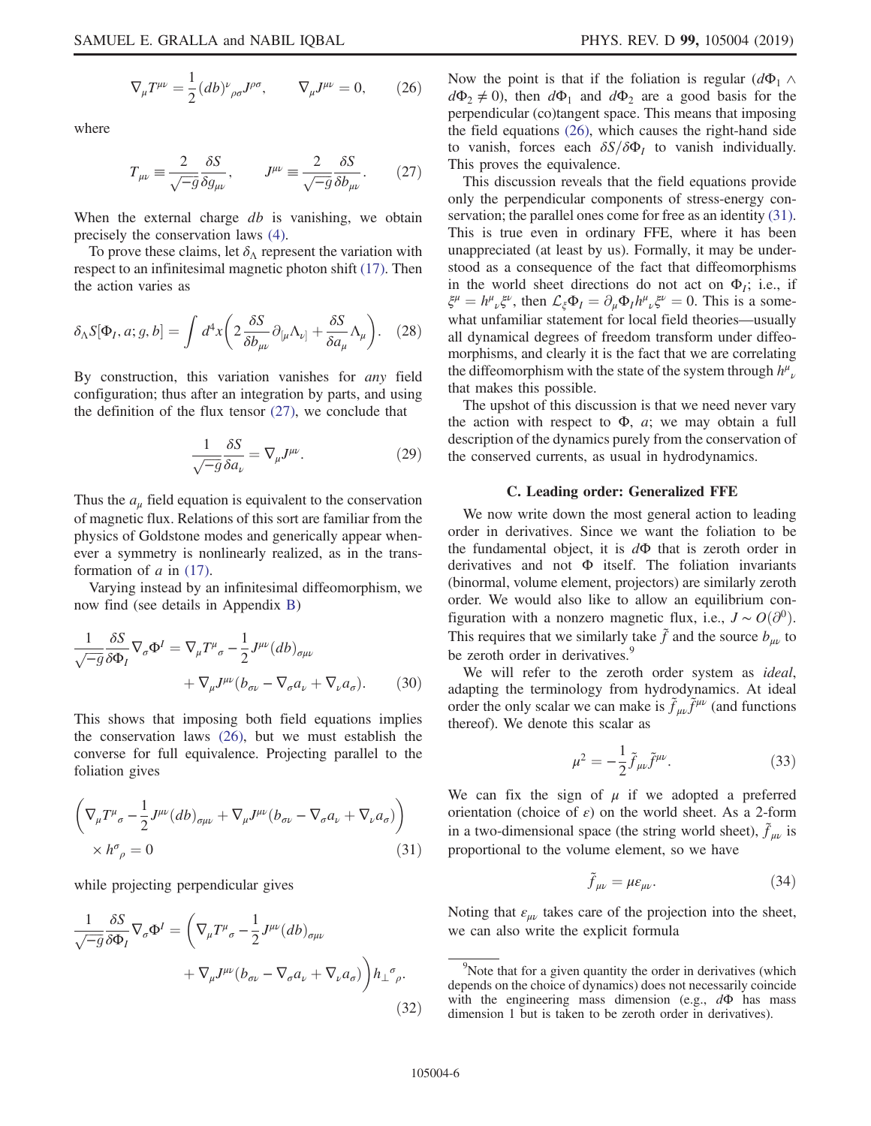<span id="page-6-0"></span>where

$$
T_{\mu\nu} \equiv \frac{2}{\sqrt{-g}} \frac{\delta S}{\delta g_{\mu\nu}}, \qquad J^{\mu\nu} \equiv \frac{2}{\sqrt{-g}} \frac{\delta S}{\delta b_{\mu\nu}}.
$$
 (27)

When the external charge  $db$  is vanishing, we obtain precisely the conservation laws [\(4\)](#page-2-0).

To prove these claims, let  $\delta_{\Lambda}$  represent the variation with respect to an infinitesimal magnetic photon shift [\(17\).](#page-4-2) Then the action varies as

$$
\delta_{\Lambda} S[\Phi_I, a; g, b] = \int d^4x \left( 2 \frac{\delta S}{\delta b_{\mu\nu}} \partial_{[\mu} \Lambda_{\nu]} + \frac{\delta S}{\delta a_\mu} \Lambda_\mu \right). \tag{28}
$$

<span id="page-6-4"></span>By construction, this variation vanishes for *any* field configuration; thus after an integration by parts, and using the definition of the flux tensor  $(27)$ , we conclude that

$$
\frac{1}{\sqrt{-g}} \frac{\delta S}{\delta a_{\nu}} = \nabla_{\mu} J^{\mu \nu}.
$$
 (29)

Thus the  $a_{\mu}$  field equation is equivalent to the conservation of magnetic flux. Relations of this sort are familiar from the physics of Goldstone modes and generically appear whenever a symmetry is nonlinearly realized, as in the transformation of  $a$  in [\(17\)](#page-4-2).

<span id="page-6-5"></span>Varying instead by an infinitesimal diffeomorphism, we now find (see details in Appendix [B](#page-12-0))

$$
\frac{1}{\sqrt{-g}} \frac{\delta S}{\delta \Phi_I} \nabla_{\sigma} \Phi^I = \nabla_{\mu} T^{\mu}{}_{\sigma} - \frac{1}{2} J^{\mu \nu} (db)_{\sigma \mu \nu} \n+ \nabla_{\mu} J^{\mu \nu} (b_{\sigma \nu} - \nabla_{\sigma} a_{\nu} + \nabla_{\nu} a_{\sigma}).
$$
\n(30)

<span id="page-6-1"></span>This shows that imposing both field equations implies the conservation laws [\(26\)](#page-5-6), but we must establish the converse for full equivalence. Projecting parallel to the foliation gives

$$
\left(\nabla_{\mu}T^{\mu}_{\sigma} - \frac{1}{2}J^{\mu\nu}(db)_{\sigma\mu\nu} + \nabla_{\mu}J^{\mu\nu}(b_{\sigma\nu} - \nabla_{\sigma}a_{\nu} + \nabla_{\nu}a_{\sigma})\right) \times h^{\sigma}_{\rho} = 0
$$
\n(31)

while projecting perpendicular gives

$$
\frac{1}{\sqrt{-g}} \frac{\delta S}{\delta \Phi_I} \nabla_{\sigma} \Phi^I = \left( \nabla_{\mu} T^{\mu}{}_{\sigma} - \frac{1}{2} J^{\mu \nu} (db)_{\sigma \mu \nu} + \nabla_{\mu} J^{\mu \nu} (b_{\sigma \nu} - \nabla_{\sigma} a_{\nu} + \nabla_{\nu} a_{\sigma}) \right) h_{\perp}{}^{\sigma}{}_{\rho}.
$$
\n(32)

Now the point is that if the foliation is regular  $(d\Phi_1 \wedge$  $d\Phi_2 \neq 0$ , then  $d\Phi_1$  and  $d\Phi_2$  are a good basis for the perpendicular (co)tangent space. This means that imposing the field equations [\(26\)](#page-5-6), which causes the right-hand side to vanish, forces each  $\delta S/\delta \Phi_I$  to vanish individually. This proves the equivalence.

This discussion reveals that the field equations provide only the perpendicular components of stress-energy conservation; the parallel ones come for free as an identity  $(31)$ . This is true even in ordinary FFE, where it has been unappreciated (at least by us). Formally, it may be understood as a consequence of the fact that diffeomorphisms in the world sheet directions do not act on  $\Phi_i$ ; i.e., if  $\xi^{\mu} = h^{\mu}{}_{\nu}\xi^{\nu}$ , then  $\mathcal{L}_{\xi}\Phi_{I} = \partial_{\mu}\Phi_{I}h^{\mu}{}_{\nu}\xi^{\nu} = 0$ . This is a somewhat unfamiliar statement for local field theories—usually all dynamical degrees of freedom transform under diffeomorphisms, and clearly it is the fact that we are correlating the diffeomorphism with the state of the system through  $h^{\mu}{}_{\nu}$ that makes this possible.

The upshot of this discussion is that we need never vary the action with respect to  $\Phi$ , *a*; we may obtain a full description of the dynamics purely from the conservation of the conserved currents, as usual in hydrodynamics.

## C. Leading order: Generalized FFE

<span id="page-6-6"></span>We now write down the most general action to leading order in derivatives. Since we want the foliation to be the fundamental object, it is  $d\Phi$  that is zeroth order in derivatives and not Φ itself. The foliation invariants (binormal, volume element, projectors) are similarly zeroth order. We would also like to allow an equilibrium configuration with a nonzero magnetic flux, i.e.,  $J \sim O(\partial^0)$ . This requires that we similarly take  $\tilde{f}$  and the source  $b_{\mu\nu}$  to be zeroth order in derivatives.<sup>9</sup>

We will refer to the zeroth order system as *ideal*, adapting the terminology from hydrodynamics. At ideal order the only scalar we can make is  $\tilde{f}_{\mu\nu}\tilde{f}^{\mu\nu}$  (and functions thereof). We denote this scalar as

$$
\mu^2 = -\frac{1}{2}\tilde{f}_{\mu\nu}\tilde{f}^{\mu\nu}.\tag{33}
$$

<span id="page-6-2"></span>We can fix the sign of  $\mu$  if we adopted a preferred orientation (choice of  $\varepsilon$ ) on the world sheet. As a 2-form in a two-dimensional space (the string world sheet),  $\tilde{f}_{\mu\nu}$  is proportional to the volume element, so we have

$$
\tilde{f}_{\mu\nu} = \mu \varepsilon_{\mu\nu}.\tag{34}
$$

<span id="page-6-3"></span>Noting that  $\varepsilon_{\mu\nu}$  takes care of the projection into the sheet, we can also write the explicit formula

<sup>&</sup>lt;sup>9</sup>Note that for a given quantity the order in derivatives (which depends on the choice of dynamics) does not necessarily coincide with the engineering mass dimension (e.g.,  $d\Phi$  has mass dimension 1 but is taken to be zeroth order in derivatives).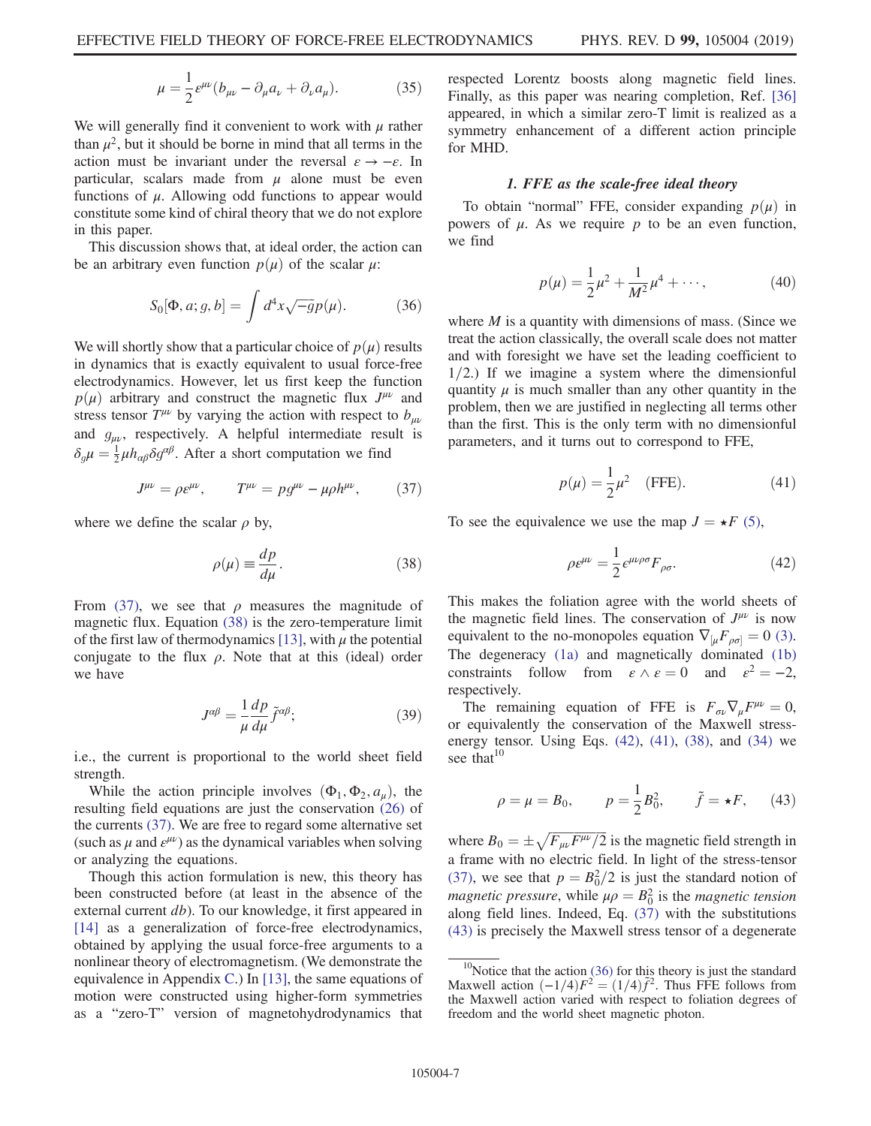$$
\mu = \frac{1}{2} \varepsilon^{\mu\nu} (b_{\mu\nu} - \partial_{\mu} a_{\nu} + \partial_{\nu} a_{\mu}). \tag{35}
$$

We will generally find it convenient to work with  $\mu$  rather than  $\mu^2$ , but it should be borne in mind that all terms in the action must be invariant under the reversal  $\varepsilon \to -\varepsilon$ . In particular, scalars made from  $\mu$  alone must be even functions of  $\mu$ . Allowing odd functions to appear would constitute some kind of chiral theory that we do not explore in this paper.

<span id="page-7-5"></span>This discussion shows that, at ideal order, the action can be an arbitrary even function  $p(\mu)$  of the scalar  $\mu$ :

$$
S_0[\Phi, a; g, b] = \int d^4x \sqrt{-g} p(\mu). \tag{36}
$$

We will shortly show that a particular choice of  $p(\mu)$  results in dynamics that is exactly equivalent to usual force-free electrodynamics. However, let us first keep the function  $p(\mu)$  arbitrary and construct the magnetic flux  $J^{\mu\nu}$  and stress tensor  $T^{\mu\nu}$  by varying the action with respect to  $b_{\mu\nu}$ and  $g_{\mu\nu}$ , respectively. A helpful intermediate result is  $\delta_g \mu = \frac{1}{2} \mu h_{\alpha\beta} \delta g^{\alpha\beta}$ . After a short computation we find

<span id="page-7-0"></span>
$$
J^{\mu\nu} = \rho \varepsilon^{\mu\nu}, \qquad T^{\mu\nu} = p g^{\mu\nu} - \mu \rho h^{\mu\nu}, \tag{37}
$$

<span id="page-7-1"></span>where we define the scalar  $\rho$  by,

$$
\rho(\mu) \equiv \frac{dp}{d\mu}.\tag{38}
$$

From [\(37\),](#page-7-0) we see that  $\rho$  measures the magnitude of magnetic flux. Equation [\(38\)](#page-7-1) is the zero-temperature limit of the first law of thermodynamics [\[13\],](#page-15-4) with  $\mu$  the potential conjugate to the flux  $\rho$ . Note that at this (ideal) order we have

$$
J^{\alpha\beta} = \frac{1}{\mu} \frac{dp}{d\mu} \tilde{f}^{\alpha\beta};\tag{39}
$$

i.e., the current is proportional to the world sheet field strength.

While the action principle involves  $(\Phi_1, \Phi_2, a_\mu)$ , the resulting field equations are just the conservation [\(26\)](#page-5-6) of the currents [\(37\)](#page-7-0). We are free to regard some alternative set (such as  $\mu$  and  $\varepsilon^{\mu\nu}$ ) as the dynamical variables when solving or analyzing the equations.

Though this action formulation is new, this theory has been constructed before (at least in the absence of the external current  $db$ ). To our knowledge, it first appeared in [\[14\]](#page-15-5) as a generalization of force-free electrodynamics, obtained by applying the usual force-free arguments to a nonlinear theory of electromagnetism. (We demonstrate the equivalence in Appendix [C.](#page-13-1)) In [\[13\],](#page-15-4) the same equations of motion were constructed using higher-form symmetries as a "zero-T" version of magnetohydrodynamics that respected Lorentz boosts along magnetic field lines. Finally, as this paper was nearing completion, Ref. [\[36\]](#page-15-17) appeared, in which a similar zero-T limit is realized as a symmetry enhancement of a different action principle for MHD.

#### 1. FFE as the scale-free ideal theory

<span id="page-7-6"></span>To obtain "normal" FFE, consider expanding  $p(\mu)$  in powers of  $\mu$ . As we require  $p$  to be an even function, we find

$$
p(\mu) = \frac{1}{2}\mu^2 + \frac{1}{M^2}\mu^4 + \cdots,
$$
 (40)

where  $M$  is a quantity with dimensions of mass. (Since we treat the action classically, the overall scale does not matter and with foresight we have set the leading coefficient to  $1/2$ .) If we imagine a system where the dimensionful quantity  $\mu$  is much smaller than any other quantity in the problem, then we are justified in neglecting all terms other than the first. This is the only term with no dimensionful parameters, and it turns out to correspond to FFE,

$$
p(\mu) = \frac{1}{2}\mu^2
$$
 (FFE). (41)

<span id="page-7-3"></span><span id="page-7-2"></span>To see the equivalence we use the map  $J = \star F$  [\(5\),](#page-2-1)

$$
\rho \varepsilon^{\mu \nu} = \frac{1}{2} \varepsilon^{\mu \nu \rho \sigma} F_{\rho \sigma}.
$$
 (42)

This makes the foliation agree with the world sheets of the magnetic field lines. The conservation of  $J^{\mu\nu}$  is now equivalent to the no-monopoles equation  $\nabla_{\mu} F_{\rho \sigma} = 0$  [\(3\)](#page-1-3). The degeneracy [\(1a\)](#page-1-6) and magnetically dominated [\(1b\)](#page-1-5) constraints follow from  $\varepsilon \wedge \varepsilon = 0$  and  $\varepsilon^2 = -2$ , respectively.

<span id="page-7-4"></span>The remaining equation of FFE is  $F_{\sigma\nu}\nabla_{\mu}F^{\mu\nu} = 0$ , or equivalently the conservation of the Maxwell stressenergy tensor. Using Eqs.  $(42)$ ,  $(41)$ ,  $(38)$ , and  $(34)$  we see that $10$ 

$$
\rho = \mu = B_0,
$$
\n $p = \frac{1}{2}B_0^2,$ \n $\tilde{f} = \star F,$ \n(43)

where  $B_0 = \pm \sqrt{F_{\mu\nu}F^{\mu\nu}/2}$  is the magnetic field strength in a frame with no electric field. In light of the stress-tensor [\(37\)](#page-7-0), we see that  $p = B_0^2/2$  is just the standard notion of *magnetic pressure,* while  $\mu \rho = B_0^2$  is the *magnetic tension* along field lines. Indeed, Eq. [\(37\)](#page-7-0) with the substitutions [\(43\)](#page-7-4) is precisely the Maxwell stress tensor of a degenerate

<sup>&</sup>lt;sup>10</sup>Notice that the action [\(36\)](#page-7-5) for this theory is just the standard Maxwell action  $\left(\frac{-1}{4}\right)F^2 = \left(\frac{1}{4}\right)\tilde{f}^2$ . Thus FFE follows from the Maxwell action varied with respect to foliation degrees of freedom and the world sheet magnetic photon.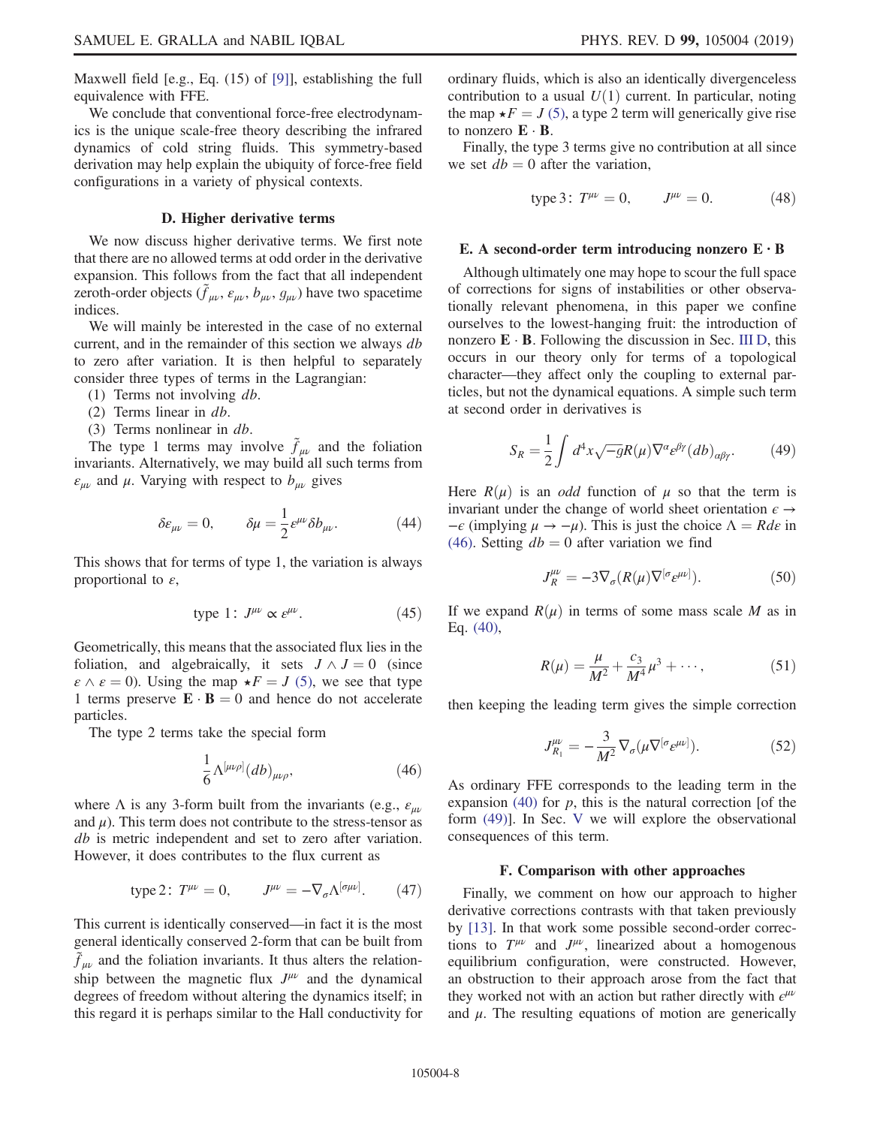Maxwell field [e.g., Eq. (15) of [\[9\]](#page-15-18)], establishing the full equivalence with FFE.

We conclude that conventional force-free electrodynamics is the unique scale-free theory describing the infrared dynamics of cold string fluids. This symmetry-based derivation may help explain the ubiquity of force-free field configurations in a variety of physical contexts.

## D. Higher derivative terms

<span id="page-8-0"></span>We now discuss higher derivative terms. We first note that there are no allowed terms at odd order in the derivative expansion. This follows from the fact that all independent zeroth-order objects  $(\tilde{f}_{\mu\nu}, \varepsilon_{\mu\nu}, b_{\mu\nu}, g_{\mu\nu})$  have two spacetime indices.

We will mainly be interested in the case of no external current, and in the remainder of this section we always db to zero after variation. It is then helpful to separately consider three types of terms in the Lagrangian:

- (1) Terms not involving db.
- (2) Terms linear in db.
- (3) Terms nonlinear in db.

The type 1 terms may involve  $\tilde{f}_{\mu\nu}$  and the foliation invariants. Alternatively, we may build all such terms from  $\varepsilon_{\mu\nu}$  and  $\mu$ . Varying with respect to  $b_{\mu\nu}$  gives

$$
\delta \varepsilon_{\mu\nu} = 0, \qquad \delta \mu = \frac{1}{2} \varepsilon^{\mu\nu} \delta b_{\mu\nu}.
$$
 (44)

This shows that for terms of type 1, the variation is always proportional to  $\varepsilon$ ,

$$
type 1: J^{\mu\nu} \propto \varepsilon^{\mu\nu}.
$$
 (45)

Geometrically, this means that the associated flux lies in the foliation, and algebraically, it sets  $J \wedge J = 0$  (since  $\varepsilon \wedge \varepsilon = 0$ ). Using the map  $\star F = J$  [\(5\),](#page-2-1) we see that type 1 terms preserve  $\mathbf{E} \cdot \mathbf{B} = 0$  and hence do not accelerate particles.

<span id="page-8-1"></span>The type 2 terms take the special form

$$
\frac{1}{6}\Lambda^{[\mu\nu\rho]}(db)_{\mu\nu\rho},\tag{46}
$$

where  $\Lambda$  is any 3-form built from the invariants (e.g.,  $\varepsilon_{uv}$ ) and  $\mu$ ). This term does not contribute to the stress-tensor as db is metric independent and set to zero after variation. However, it does contributes to the flux current as

type 2: 
$$
T^{\mu\nu} = 0
$$
,  $J^{\mu\nu} = -\nabla_{\sigma} \Lambda^{[\sigma\mu\nu]}$ . (47)

This current is identically conserved—in fact it is the most general identically conserved 2-form that can be built from  $\tilde{f}_{\mu\nu}$  and the foliation invariants. It thus alters the relationship between the magnetic flux  $J^{\mu\nu}$  and the dynamical degrees of freedom without altering the dynamics itself; in this regard it is perhaps similar to the Hall conductivity for ordinary fluids, which is also an identically divergenceless contribution to a usual  $U(1)$  current. In particular, noting the map  $\star F = J(5)$  $\star F = J(5)$ , a type 2 term will generically give rise to nonzero  $\mathbf{E} \cdot \mathbf{B}$ .

Finally, the type 3 terms give no contribution at all since we set  $db = 0$  after the variation,

type 3: 
$$
T^{\mu\nu} = 0
$$
,  $J^{\mu\nu} = 0$ . (48)

## E. A second-order term introducing nonzero  $E \cdot B$

Although ultimately one may hope to scour the full space of corrections for signs of instabilities or other observationally relevant phenomena, in this paper we confine ourselves to the lowest-hanging fruit: the introduction of nonzero  $\mathbf{E} \cdot \mathbf{B}$ . Following the discussion in Sec. [III D](#page-8-0), this occurs in our theory only for terms of a topological character—they affect only the coupling to external particles, but not the dynamical equations. A simple such term at second order in derivatives is

<span id="page-8-2"></span>
$$
S_R = \frac{1}{2} \int d^4x \sqrt{-g} R(\mu) \nabla^{\alpha} \varepsilon^{\beta \gamma} (db)_{\alpha \beta \gamma}.
$$
 (49)

Here  $R(\mu)$  is an *odd* function of  $\mu$  so that the term is invariant under the change of world sheet orientation  $\epsilon \rightarrow$  $-\epsilon$  (implying  $\mu \to -\mu$ ). This is just the choice  $\Lambda = Rd\epsilon$  in [\(46\)](#page-8-1). Setting  $db = 0$  after variation we find

$$
J_R^{\mu\nu} = -3\nabla_{\sigma}(R(\mu)\nabla^{[\sigma} \varepsilon^{\mu\nu]}).
$$
 (50)

If we expand  $R(\mu)$  in terms of some mass scale M as in Eq. [\(40\)](#page-7-6),

$$
R(\mu) = \frac{\mu}{M^2} + \frac{c_3}{M^4} \mu^3 + \cdots, \qquad (51)
$$

<span id="page-8-3"></span>then keeping the leading term gives the simple correction

$$
J_{R_1}^{\mu\nu} = -\frac{3}{M^2} \nabla_\sigma (\mu \nabla^{[\sigma} \varepsilon^{\mu\nu]}). \tag{52}
$$

As ordinary FFE corresponds to the leading term in the expansion [\(40\)](#page-7-6) for  $p$ , this is the natural correction [of the form [\(49\)\]](#page-8-2). In Sec. [V](#page-10-0) we will explore the observational consequences of this term.

#### F. Comparison with other approaches

Finally, we comment on how our approach to higher derivative corrections contrasts with that taken previously by [\[13\].](#page-15-4) In that work some possible second-order corrections to  $T^{\mu\nu}$  and  $J^{\mu\nu}$ , linearized about a homogenous equilibrium configuration, were constructed. However, an obstruction to their approach arose from the fact that they worked not with an action but rather directly with  $\epsilon^{\mu\nu}$ and  $\mu$ . The resulting equations of motion are generically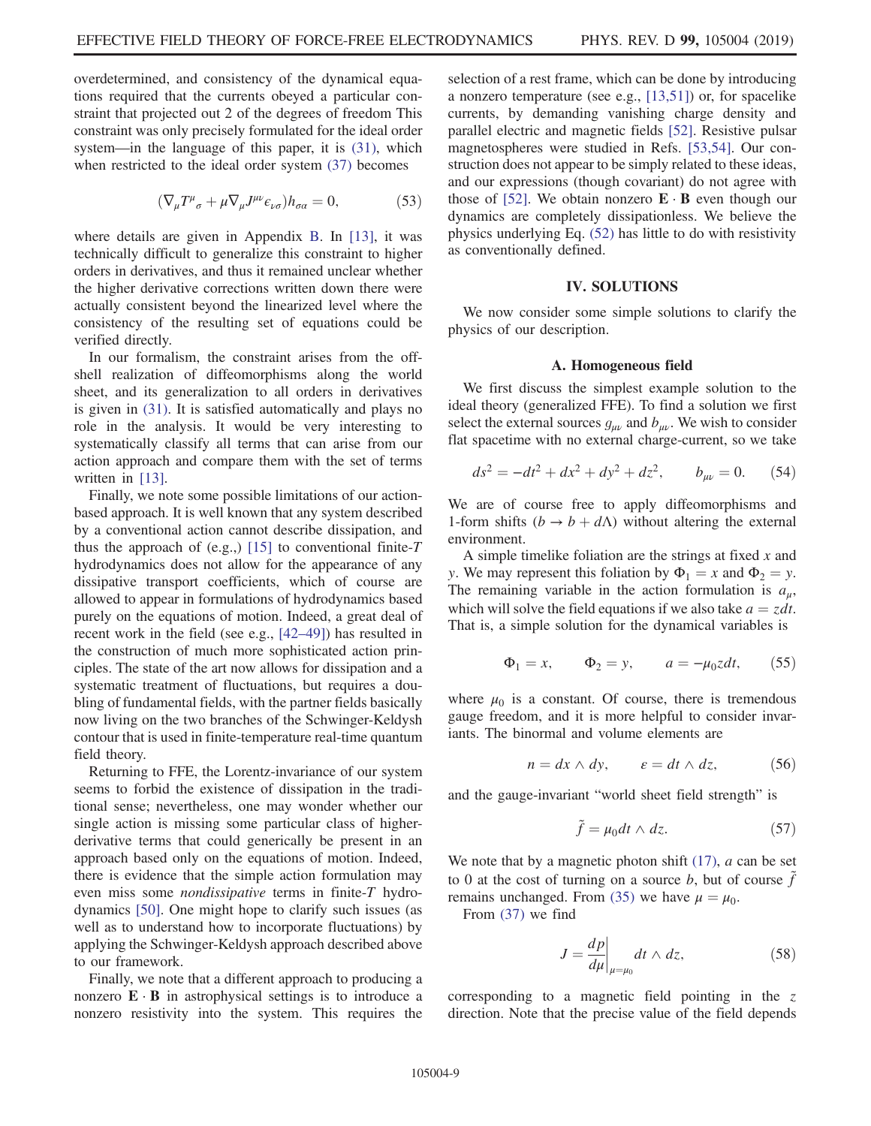overdetermined, and consistency of the dynamical equations required that the currents obeyed a particular constraint that projected out 2 of the degrees of freedom This constraint was only precisely formulated for the ideal order system—in the language of this paper, it is [\(31\)](#page-6-1), which when restricted to the ideal order system [\(37\)](#page-7-0) becomes

$$
(\nabla_{\mu}T^{\mu}_{\ \sigma} + \mu \nabla_{\mu}J^{\mu\nu}\epsilon_{\nu\sigma})h_{\sigma\alpha} = 0, \qquad (53)
$$

where details are given in Appendix [B.](#page-12-0) In [\[13\],](#page-15-4) it was technically difficult to generalize this constraint to higher orders in derivatives, and thus it remained unclear whether the higher derivative corrections written down there were actually consistent beyond the linearized level where the consistency of the resulting set of equations could be verified directly.

In our formalism, the constraint arises from the offshell realization of diffeomorphisms along the world sheet, and its generalization to all orders in derivatives is given in [\(31\).](#page-6-1) It is satisfied automatically and plays no role in the analysis. It would be very interesting to systematically classify all terms that can arise from our action approach and compare them with the set of terms written in [\[13\]](#page-15-4).

Finally, we note some possible limitations of our actionbased approach. It is well known that any system described by a conventional action cannot describe dissipation, and thus the approach of (e.g.,) [\[15\]](#page-15-6) to conventional finite-T hydrodynamics does not allow for the appearance of any dissipative transport coefficients, which of course are allowed to appear in formulations of hydrodynamics based purely on the equations of motion. Indeed, a great deal of recent work in the field (see e.g., [42–[49\]\)](#page-15-19) has resulted in the construction of much more sophisticated action principles. The state of the art now allows for dissipation and a systematic treatment of fluctuations, but requires a doubling of fundamental fields, with the partner fields basically now living on the two branches of the Schwinger-Keldysh contour that is used in finite-temperature real-time quantum field theory.

Returning to FFE, the Lorentz-invariance of our system seems to forbid the existence of dissipation in the traditional sense; nevertheless, one may wonder whether our single action is missing some particular class of higherderivative terms that could generically be present in an approach based only on the equations of motion. Indeed, there is evidence that the simple action formulation may even miss some nondissipative terms in finite-T hydrodynamics [\[50\].](#page-16-0) One might hope to clarify such issues (as well as to understand how to incorporate fluctuations) by applying the Schwinger-Keldysh approach described above to our framework.

Finally, we note that a different approach to producing a nonzero  $\mathbf{E} \cdot \mathbf{B}$  in astrophysical settings is to introduce a nonzero resistivity into the system. This requires the selection of a rest frame, which can be done by introducing a nonzero temperature (see e.g., [\[13,51\]\)](#page-15-4) or, for spacelike currents, by demanding vanishing charge density and parallel electric and magnetic fields [\[52\]](#page-16-1). Resistive pulsar magnetospheres were studied in Refs. [\[53,54\]](#page-16-2). Our construction does not appear to be simply related to these ideas, and our expressions (though covariant) do not agree with those of [\[52\].](#page-16-1) We obtain nonzero  $\mathbf{E} \cdot \mathbf{B}$  even though our dynamics are completely dissipationless. We believe the physics underlying Eq. [\(52\)](#page-8-3) has little to do with resistivity as conventionally defined.

## IV. SOLUTIONS

<span id="page-9-0"></span>We now consider some simple solutions to clarify the physics of our description.

### A. Homogeneous field

We first discuss the simplest example solution to the ideal theory (generalized FFE). To find a solution we first select the external sources  $g_{\mu\nu}$  and  $b_{\mu\nu}$ . We wish to consider flat spacetime with no external charge-current, so we take

$$
ds^{2} = -dt^{2} + dx^{2} + dy^{2} + dz^{2}, \t b_{\mu\nu} = 0. \t (54)
$$

We are of course free to apply diffeomorphisms and 1-form shifts  $(b \rightarrow b + d\Lambda)$  without altering the external environment.

A simple timelike foliation are the strings at fixed  $x$  and y. We may represent this foliation by  $\Phi_1 = x$  and  $\Phi_2 = y$ . The remaining variable in the action formulation is  $a_{\mu}$ , which will solve the field equations if we also take  $a = zdt$ . That is, a simple solution for the dynamical variables is

$$
\Phi_1 = x, \qquad \Phi_2 = y, \qquad a = -\mu_0 z dt, \qquad (55)
$$

where  $\mu_0$  is a constant. Of course, there is tremendous gauge freedom, and it is more helpful to consider invariants. The binormal and volume elements are

$$
n = dx \wedge dy, \qquad \varepsilon = dt \wedge dz, \tag{56}
$$

and the gauge-invariant "world sheet field strength" is

$$
\tilde{f} = \mu_0 dt \wedge dz. \tag{57}
$$

We note that by a magnetic photon shift  $(17)$ , a can be set to 0 at the cost of turning on a source b, but of course  $\tilde{f}$ remains unchanged. From [\(35\)](#page-6-3) we have  $\mu = \mu_0$ .

From [\(37\)](#page-7-0) we find

$$
J = \frac{dp}{d\mu}\bigg|_{\mu = \mu_0} dt \wedge dz,\tag{58}
$$

corresponding to a magnetic field pointing in the  $z$ direction. Note that the precise value of the field depends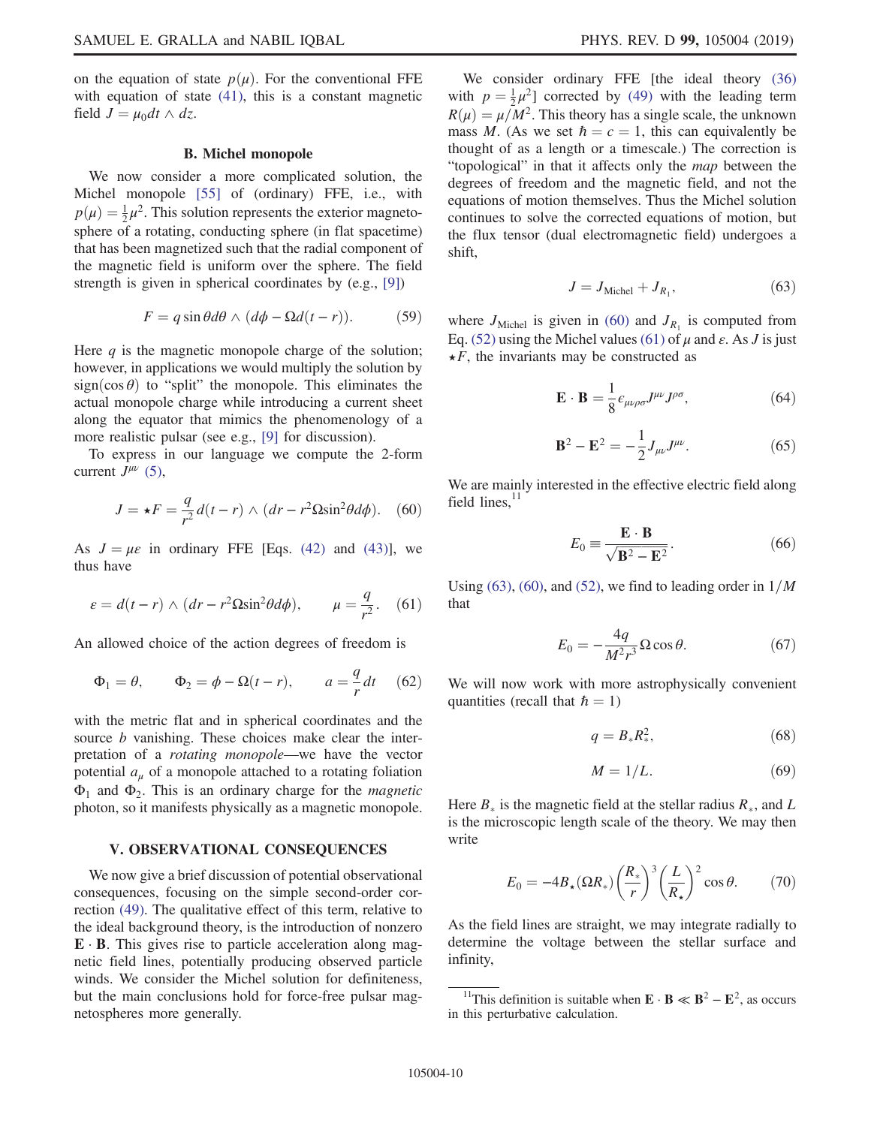on the equation of state  $p(\mu)$ . For the conventional FFE with equation of state [\(41\),](#page-7-3) this is a constant magnetic field  $J = \mu_0 dt \wedge dz$ .

### B. Michel monopole

We now consider a more complicated solution, the Michel monopole [\[55\]](#page-16-3) of (ordinary) FFE, i.e., with  $p(\mu) = \frac{1}{2}\mu^2$ . This solution represents the exterior magnetosphere of a rotating, conducting sphere (in flat spacetime) that has been magnetized such that the radial component of the magnetic field is uniform over the sphere. The field strength is given in spherical coordinates by (e.g., [\[9\]](#page-15-18))

$$
F = q \sin \theta d\theta \wedge (d\phi - \Omega d(t - r)). \tag{59}
$$

Here  $q$  is the magnetic monopole charge of the solution; however, in applications we would multiply the solution by  $sign(\cos \theta)$  to "split" the monopole. This eliminates the actual monopole charge while introducing a current sheet along the equator that mimics the phenomenology of a more realistic pulsar (see e.g., [\[9\]](#page-15-18) for discussion).

<span id="page-10-1"></span>To express in our language we compute the 2-form current  $J^{\mu\nu}$  [\(5\),](#page-2-1)

$$
J = \star F = \frac{q}{r^2}d(t - r) \wedge (dr - r^2 \Omega \sin^2 \theta d\phi). \quad (60)
$$

<span id="page-10-2"></span>As  $J = \mu \varepsilon$  in ordinary FFE [Eqs. [\(42\)](#page-7-2) and [\(43\)\]](#page-7-4), we thus have

$$
\varepsilon = d(t - r) \wedge (dr - r^2 \Omega \sin^2 \theta d\phi), \qquad \mu = \frac{q}{r^2}.
$$
 (61)

An allowed choice of the action degrees of freedom is

$$
\Phi_1 = \theta, \qquad \Phi_2 = \phi - \Omega(t - r), \qquad a = \frac{q}{r} dt \quad (62)
$$

with the metric flat and in spherical coordinates and the source *b* vanishing. These choices make clear the interpretation of a rotating monopole—we have the vector potential  $a_{\mu}$  of a monopole attached to a rotating foliation  $\Phi_1$  and  $\Phi_2$ . This is an ordinary charge for the *magnetic* photon, so it manifests physically as a magnetic monopole.

### <span id="page-10-0"></span>V. OBSERVATIONAL CONSEQUENCES

We now give a brief discussion of potential observational consequences, focusing on the simple second-order correction [\(49\)](#page-8-2). The qualitative effect of this term, relative to the ideal background theory, is the introduction of nonzero  $E \cdot B$ . This gives rise to particle acceleration along magnetic field lines, potentially producing observed particle winds. We consider the Michel solution for definiteness, but the main conclusions hold for force-free pulsar magnetospheres more generally.

We consider ordinary FFE [the ideal theory [\(36\)](#page-7-5) with  $p = \frac{1}{2}\mu^2$  corrected by [\(49\)](#page-8-2) with the leading term  $R(\mu) = \mu/M^2$ . This theory has a single scale, the unknown mass M. (As we set  $\hbar = c = 1$ , this can equivalently be thought of as a length or a timescale.) The correction is "topological" in that it affects only the map between the degrees of freedom and the magnetic field, and not the equations of motion themselves. Thus the Michel solution continues to solve the corrected equations of motion, but the flux tensor (dual electromagnetic field) undergoes a shift,

$$
J = J_{\text{Michel}} + J_{R_1},\tag{63}
$$

<span id="page-10-3"></span>where  $J_{\text{Michel}}$  is given in [\(60\)](#page-10-1) and  $J_{R_1}$  is computed from Eq. [\(52\)](#page-8-3) using the Michel values [\(61\)](#page-10-2) of  $\mu$  and  $\varepsilon$ . As J is just  $\star$ F, the invariants may be constructed as

$$
\mathbf{E} \cdot \mathbf{B} = \frac{1}{8} \epsilon_{\mu\nu\rho\sigma} J^{\mu\nu} J^{\rho\sigma}, \tag{64}
$$

$$
\mathbf{B}^2 - \mathbf{E}^2 = -\frac{1}{2} J_{\mu\nu} J^{\mu\nu}.
$$
 (65)

We are mainly interested in the effective electric field along field lines, $^{11}$ 

$$
E_0 \equiv \frac{\mathbf{E} \cdot \mathbf{B}}{\sqrt{\mathbf{B}^2 - \mathbf{E}^2}}.
$$
 (66)

Using [\(63\),](#page-10-3) [\(60\)](#page-10-1), and [\(52\)](#page-8-3), we find to leading order in  $1/M$ that

$$
E_0 = -\frac{4q}{M^2 r^3} \Omega \cos \theta. \tag{67}
$$

We will now work with more astrophysically convenient quantities (recall that  $\hbar = 1$ )

$$
q = B_* R_*^2, \tag{68}
$$

$$
M = 1/L. \tag{69}
$$

<span id="page-10-4"></span>Here  $B_*$  is the magnetic field at the stellar radius  $R_*$ , and L is the microscopic length scale of the theory. We may then write

$$
E_0 = -4B_\star(\Omega R_\star) \left(\frac{R_\star}{r}\right)^3 \left(\frac{L}{R_\star}\right)^2 \cos \theta. \tag{70}
$$

<span id="page-10-5"></span>As the field lines are straight, we may integrate radially to determine the voltage between the stellar surface and infinity,

<sup>&</sup>lt;sup>11</sup>This definition is suitable when  $\mathbf{E} \cdot \mathbf{B} \ll \mathbf{B}^2 - \mathbf{E}^2$ , as occurs in this perturbative calculation.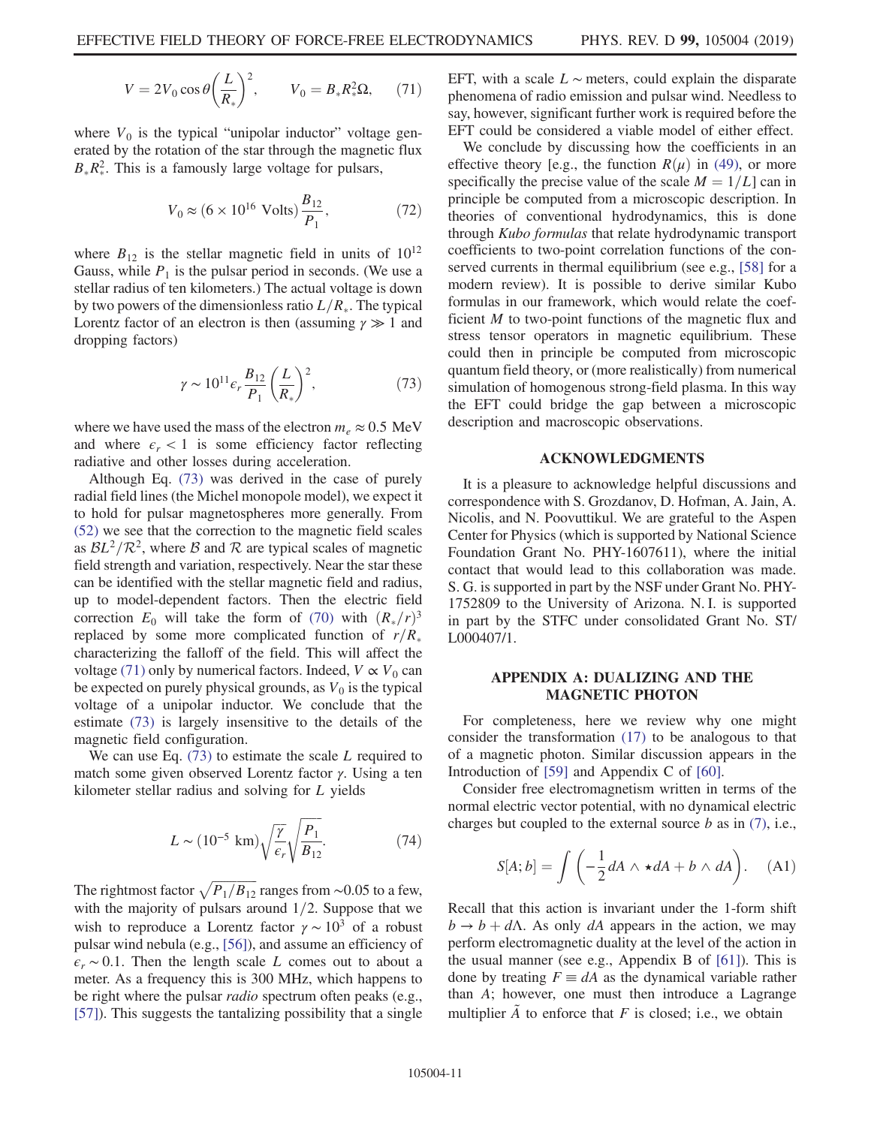$$
V = 2V_0 \cos \theta \left(\frac{L}{R_*}\right)^2, \qquad V_0 = B_* R_*^2 \Omega, \qquad (71)
$$

where  $V_0$  is the typical "unipolar inductor" voltage generated by the rotation of the star through the magnetic flux  $B_*R_*^2$ . This is a famously large voltage for pulsars,

$$
V_0 \approx (6 \times 10^{16} \text{ Volts}) \frac{B_{12}}{P_1},
$$
 (72)

<span id="page-11-2"></span>where  $B_{12}$  is the stellar magnetic field in units of  $10^{12}$ Gauss, while  $P_1$  is the pulsar period in seconds. (We use a stellar radius of ten kilometers.) The actual voltage is down by two powers of the dimensionless ratio  $L/R_*$ . The typical Lorentz factor of an electron is then (assuming  $\gamma \gg 1$  and dropping factors)

$$
\gamma \sim 10^{11} \epsilon_r \frac{B_{12}}{P_1} \left(\frac{L}{R_*}\right)^2,\tag{73}
$$

where we have used the mass of the electron  $m_e \approx 0.5$  MeV and where  $\epsilon_r < 1$  is some efficiency factor reflecting radiative and other losses during acceleration.

Although Eq. [\(73\)](#page-11-2) was derived in the case of purely radial field lines (the Michel monopole model), we expect it to hold for pulsar magnetospheres more generally. From [\(52\)](#page-8-3) we see that the correction to the magnetic field scales as  $BL^2/R^2$ , where B and R are typical scales of magnetic field strength and variation, respectively. Near the star these can be identified with the stellar magnetic field and radius, up to model-dependent factors. Then the electric field correction  $E_0$  will take the form of [\(70\)](#page-10-4) with  $(R_*/r)^3$ replaced by some more complicated function of  $r/R_*$ characterizing the falloff of the field. This will affect the voltage [\(71\)](#page-10-5) only by numerical factors. Indeed,  $V \propto V_0$  can be expected on purely physical grounds, as  $V_0$  is the typical voltage of a unipolar inductor. We conclude that the estimate [\(73\)](#page-11-2) is largely insensitive to the details of the magnetic field configuration.

We can use Eq.  $(73)$  to estimate the scale L required to match some given observed Lorentz factor γ. Using a ten kilometer stellar radius and solving for L yields

$$
L \sim (10^{-5} \text{ km}) \sqrt{\frac{\gamma}{\epsilon_r}} \sqrt{\frac{P_1}{B_{12}}}.
$$
 (74)

The rightmost factor  $\sqrt{P_1/B_{12}}$  ranges from ∼0.05 to a few, with the majority of pulsars around  $1/2$ . Suppose that we wish to reproduce a Lorentz factor  $\gamma \sim 10^3$  of a robust pulsar wind nebula (e.g., [\[56\]\)](#page-16-4), and assume an efficiency of  $\epsilon_r \sim 0.1$ . Then the length scale L comes out to about a meter. As a frequency this is 300 MHz, which happens to be right where the pulsar *radio* spectrum often peaks (e.g., [\[57\]](#page-16-5)). This suggests the tantalizing possibility that a single EFT, with a scale  $L \sim$  meters, could explain the disparate phenomena of radio emission and pulsar wind. Needless to say, however, significant further work is required before the EFT could be considered a viable model of either effect.

We conclude by discussing how the coefficients in an effective theory [e.g., the function  $R(\mu)$  in [\(49\)](#page-8-2), or more specifically the precise value of the scale  $M = 1/L$ ] can in principle be computed from a microscopic description. In theories of conventional hydrodynamics, this is done through Kubo formulas that relate hydrodynamic transport coefficients to two-point correlation functions of the conserved currents in thermal equilibrium (see e.g., [\[58\]](#page-16-6) for a modern review). It is possible to derive similar Kubo formulas in our framework, which would relate the coefficient M to two-point functions of the magnetic flux and stress tensor operators in magnetic equilibrium. These could then in principle be computed from microscopic quantum field theory, or (more realistically) from numerical simulation of homogenous strong-field plasma. In this way the EFT could bridge the gap between a microscopic description and macroscopic observations.

#### ACKNOWLEDGMENTS

It is a pleasure to acknowledge helpful discussions and correspondence with S. Grozdanov, D. Hofman, A. Jain, A. Nicolis, and N. Poovuttikul. We are grateful to the Aspen Center for Physics (which is supported by National Science Foundation Grant No. PHY-1607611), where the initial contact that would lead to this collaboration was made. S. G. is supported in part by the NSF under Grant No. PHY-1752809 to the University of Arizona. N. I. is supported in part by the STFC under consolidated Grant No. ST/ L000407/1.

### <span id="page-11-1"></span>APPENDIX A: DUALIZING AND THE MAGNETIC PHOTON

For completeness, here we review why one might consider the transformation [\(17\)](#page-4-2) to be analogous to that of a magnetic photon. Similar discussion appears in the Introduction of [\[59\]](#page-16-7) and Appendix C of [\[60\].](#page-16-8)

<span id="page-11-0"></span>Consider free electromagnetism written in terms of the normal electric vector potential, with no dynamical electric charges but coupled to the external source  $b$  as in [\(7\)](#page-3-2), i.e.,

$$
S[A; b] = \int \left( -\frac{1}{2} dA \wedge \star dA + b \wedge dA \right). \quad (A1)
$$

Recall that this action is invariant under the 1-form shift  $b \rightarrow b + d\Lambda$ . As only dA appears in the action, we may perform electromagnetic duality at the level of the action in the usual manner (see e.g., Appendix B of [\[61\]\)](#page-16-9). This is done by treating  $F \equiv dA$  as the dynamical variable rather than A; however, one must then introduce a Lagrange multiplier  $\tilde{A}$  to enforce that F is closed; i.e., we obtain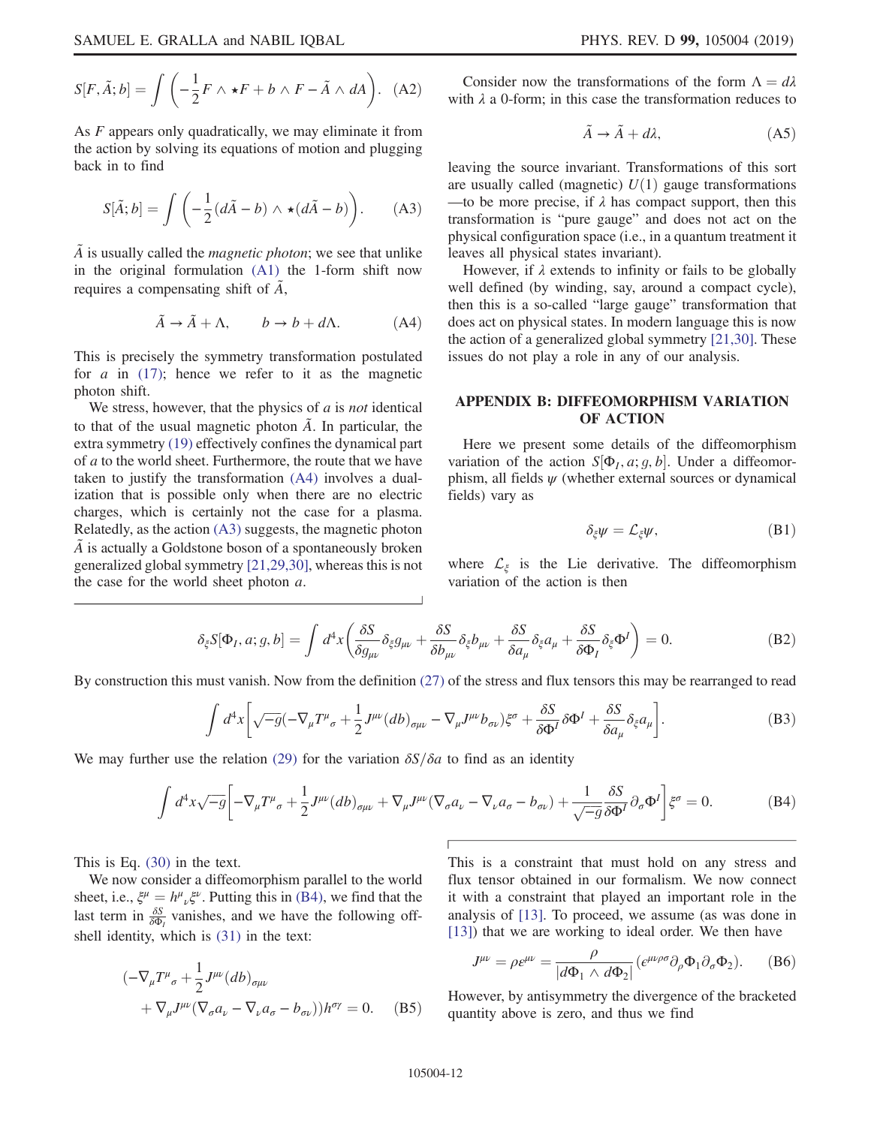$$
S[F, \tilde{A}; b] = \int \left( -\frac{1}{2} F \wedge \star F + b \wedge F - \tilde{A} \wedge dA \right). \tag{A2}
$$

<span id="page-12-2"></span>As F appears only quadratically, we may eliminate it from the action by solving its equations of motion and plugging back in to find

$$
S[\tilde{A}; b] = \int \left( -\frac{1}{2} (d\tilde{A} - b) \wedge \star (d\tilde{A} - b) \right). \tag{A3}
$$

<span id="page-12-1"></span> $\tilde{A}$  is usually called the *magnetic photon*; we see that unlike in the original formulation [\(A1\)](#page-11-0) the 1-form shift now requires a compensating shift of  $\tilde{A}$ ,

$$
\tilde{A} \to \tilde{A} + \Lambda, \qquad b \to b + d\Lambda. \tag{A4}
$$

This is precisely the symmetry transformation postulated for  $a$  in [\(17\)](#page-4-2); hence we refer to it as the magnetic photon shift.

We stress, however, that the physics of  $\alpha$  is *not* identical to that of the usual magnetic photon  $\tilde{A}$ . In particular, the extra symmetry [\(19\)](#page-5-3) effectively confines the dynamical part of a to the world sheet. Furthermore, the route that we have taken to justify the transformation [\(A4\)](#page-12-1) involves a dualization that is possible only when there are no electric charges, which is certainly not the case for a plasma. Relatedly, as the action [\(A3\)](#page-12-2) suggests, the magnetic photon  $\tilde{A}$  is actually a Goldstone boson of a spontaneously broken generalized global symmetry [\[21,29,30\],](#page-15-11) whereas this is not the case for the world sheet photon a.

Consider now the transformations of the form  $\Lambda = d\lambda$ with  $\lambda$  a 0-form; in this case the transformation reduces to

$$
\tilde{A} \to \tilde{A} + d\lambda, \tag{A5}
$$

leaving the source invariant. Transformations of this sort are usually called (magnetic)  $U(1)$  gauge transformations —to be more precise, if  $\lambda$  has compact support, then this transformation is "pure gauge" and does not act on the physical configuration space (i.e., in a quantum treatment it leaves all physical states invariant).

However, if  $\lambda$  extends to infinity or fails to be globally well defined (by winding, say, around a compact cycle), then this is a so-called "large gauge" transformation that does act on physical states. In modern language this is now the action of a generalized global symmetry [\[21,30\]](#page-15-11). These issues do not play a role in any of our analysis.

## <span id="page-12-0"></span>APPENDIX B: DIFFEOMORPHISM VARIATION OF ACTION

Here we present some details of the diffeomorphism variation of the action  $S[\Phi_I, a; g, b]$ . Under a diffeomorphism, all fields  $\psi$  (whether external sources or dynamical fields) vary as

$$
\delta_{\xi}\psi = \mathcal{L}_{\xi}\psi, \tag{B1}
$$

where  $\mathcal{L}_{\xi}$  is the Lie derivative. The diffeomorphism variation of the action is then

$$
\delta_{\xi} S[\Phi_I, a; g, b] = \int d^4x \left( \frac{\delta S}{\delta g_{\mu\nu}} \delta_{\xi} g_{\mu\nu} + \frac{\delta S}{\delta b_{\mu\nu}} \delta_{\xi} b_{\mu\nu} + \frac{\delta S}{\delta a_{\mu}} \delta_{\xi} a_{\mu} + \frac{\delta S}{\delta \Phi_I} \delta_{\xi} \Phi^I \right) = 0. \tag{B2}
$$

By construction this must vanish. Now from the definition [\(27\)](#page-6-0) of the stress and flux tensors this may be rearranged to read

$$
\int d^4x \left[ \sqrt{-g} \left( -\nabla_{\mu} T^{\mu}{}_{\sigma} + \frac{1}{2} J^{\mu \nu} (db)_{\sigma \mu \nu} - \nabla_{\mu} J^{\mu \nu} b_{\sigma \nu} \right) \xi^{\sigma} + \frac{\delta S}{\delta \Phi^I} \delta \Phi^I + \frac{\delta S}{\delta a_{\mu}} \delta_{\xi} a_{\mu} \right]. \tag{B3}
$$

<span id="page-12-3"></span>We may further use the relation [\(29\)](#page-6-4) for the variation  $\delta S/\delta a$  to find as an identity

$$
\int d^4x \sqrt{-g} \left[ -\nabla_{\mu} T^{\mu}{}_{\sigma} + \frac{1}{2} J^{\mu\nu} (db)_{\sigma\mu\nu} + \nabla_{\mu} J^{\mu\nu} (\nabla_{\sigma} a_{\nu} - \nabla_{\nu} a_{\sigma} - b_{\sigma\nu}) + \frac{1}{\sqrt{-g}} \frac{\delta S}{\delta \Phi^I} \partial_{\sigma} \Phi^I \right] \xi^{\sigma} = 0. \tag{B4}
$$

This is Eq. [\(30\)](#page-6-5) in the text.

<span id="page-12-4"></span>We now consider a diffeomorphism parallel to the world sheet, i.e.,  $\xi^{\mu} = h^{\mu}{}_{\nu}\xi^{\nu}$ . Putting this in [\(B4\)](#page-12-3), we find that the last term in  $\frac{\delta S}{\delta \Phi_l}$  vanishes, and we have the following offshell identity, which is [\(31\)](#page-6-1) in the text:

$$
\begin{aligned} &(-\nabla_{\mu}T^{\mu}_{\sigma} + \frac{1}{2}J^{\mu\nu}(db)_{\sigma\mu\nu} \\ &+ \nabla_{\mu}J^{\mu\nu}(\nabla_{\sigma}a_{\nu} - \nabla_{\nu}a_{\sigma} - b_{\sigma\nu}))h^{\sigma\gamma} = 0. \end{aligned} \tag{B5}
$$

This is a constraint that must hold on any stress and flux tensor obtained in our formalism. We now connect it with a constraint that played an important role in the analysis of [\[13\].](#page-15-4) To proceed, we assume (as was done in [\[13\]](#page-15-4)) that we are working to ideal order. We then have

$$
J^{\mu\nu} = \rho \varepsilon^{\mu\nu} = \frac{\rho}{|d\Phi_1 \wedge d\Phi_2|} (\varepsilon^{\mu\nu\rho\sigma} \partial_\rho \Phi_1 \partial_\sigma \Phi_2).
$$
 (B6)

However, by antisymmetry the divergence of the bracketed quantity above is zero, and thus we find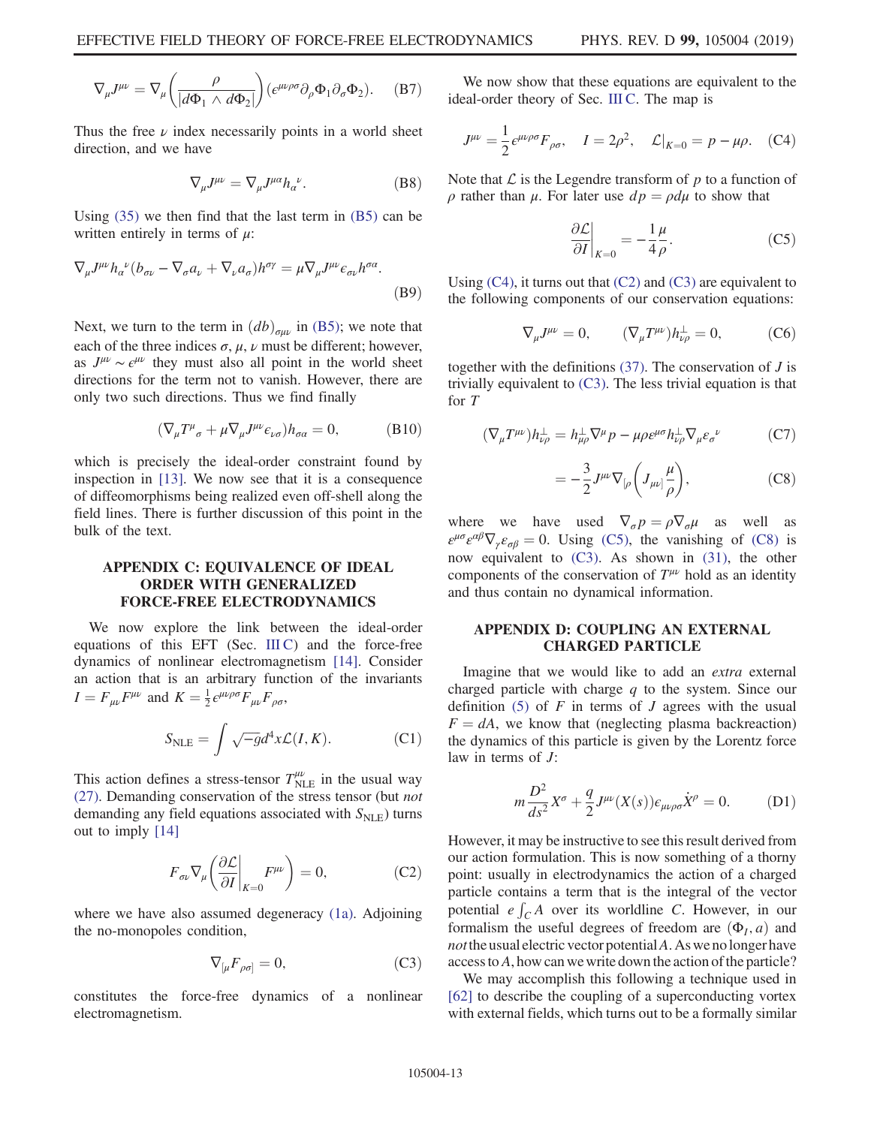$$
\nabla_{\mu}J^{\mu\nu} = \nabla_{\mu} \left( \frac{\rho}{|d\Phi_1 \wedge d\Phi_2|} \right) \left( \epsilon^{\mu\nu\rho\sigma} \partial_{\rho} \Phi_1 \partial_{\sigma} \Phi_2 \right). \tag{B7}
$$

Thus the free  $\nu$  index necessarily points in a world sheet direction, and we have

$$
\nabla_{\mu}J^{\mu\nu} = \nabla_{\mu}J^{\mu\alpha}h_{\alpha}{}^{\nu}.
$$
 (B8)

Using [\(35\)](#page-6-3) we then find that the last term in [\(B5\)](#page-12-4) can be written entirely in terms of  $\mu$ :

$$
\nabla_{\mu}J^{\mu\nu}h_{\alpha}{}^{\nu}(b_{\sigma\nu} - \nabla_{\sigma}a_{\nu} + \nabla_{\nu}a_{\sigma})h^{\sigma\gamma} = \mu \nabla_{\mu}J^{\mu\nu}\epsilon_{\sigma\nu}h^{\sigma\alpha}.
$$
\n(B9)

Next, we turn to the term in  $(db)_{\sigma\mu\nu}$  in [\(B5\);](#page-12-4) we note that each of the three indices  $\sigma$ ,  $\mu$ ,  $\nu$  must be different; however, as  $J^{\mu\nu} \sim \epsilon^{\mu\nu}$  they must also all point in the world sheet directions for the term not to vanish. However, there are only two such directions. Thus we find finally

$$
(\nabla_{\mu}T^{\mu}_{\ \sigma} + \mu \nabla_{\mu}J^{\mu\nu}\epsilon_{\nu\sigma})h_{\sigma\alpha} = 0, \tag{B10}
$$

which is precisely the ideal-order constraint found by inspection in [\[13\].](#page-15-4) We now see that it is a consequence of diffeomorphisms being realized even off-shell along the field lines. There is further discussion of this point in the bulk of the text.

## <span id="page-13-1"></span>APPENDIX C: EQUIVALENCE OF IDEAL ORDER WITH GENERALIZED FORCE-FREE ELECTRODYNAMICS

We now explore the link between the ideal-order equations of this EFT (Sec.  $III C$ ) and the force-free dynamics of nonlinear electromagnetism [\[14\].](#page-15-5) Consider an action that is an arbitrary function of the invariants  $I = F_{\mu\nu}F^{\mu\nu}$  and  $K = \frac{1}{2}\epsilon^{\mu\nu\rho\sigma}F_{\mu\nu}F_{\rho\sigma}$ ,

$$
S_{\text{NLE}} = \int \sqrt{-g} d^4x \mathcal{L}(I, K). \tag{C1}
$$

<span id="page-13-3"></span>This action defines a stress-tensor  $T^{\mu\nu}_{\text{NLE}}$  in the usual way [\(27\)](#page-6-0). Demanding conservation of the stress tensor (but not demanding any field equations associated with  $S_{NLE}$ ) turns out to imply [\[14\]](#page-15-5)

$$
F_{\sigma\nu}\nabla_{\mu}\left(\frac{\partial \mathcal{L}}{\partial I}\bigg|_{K=0}F^{\mu\nu}\right) = 0, \tag{C2}
$$

<span id="page-13-4"></span>where we have also assumed degeneracy [\(1a\)](#page-1-6). Adjoining the no-monopoles condition,

$$
\nabla_{\left[\mu} F_{\rho \sigma\right]} = 0,\tag{C3}
$$

constitutes the force-free dynamics of a nonlinear electromagnetism.

<span id="page-13-2"></span>We now show that these equations are equivalent to the ideal-order theory of Sec. [III C.](#page-6-6) The map is

$$
J^{\mu\nu} = \frac{1}{2} \epsilon^{\mu\nu\rho\sigma} F_{\rho\sigma}, \quad I = 2\rho^2, \quad \mathcal{L}|_{K=0} = p - \mu\rho. \quad (C4)
$$

<span id="page-13-5"></span>Note that  $\mathcal L$  is the Legendre transform of  $p$  to a function of  $ρ$  rather than  $μ$ . For later use  $dp = ρdμ$  to show that

$$
\left. \frac{\partial \mathcal{L}}{\partial I} \right|_{K=0} = -\frac{1}{4} \frac{\mu}{\rho}.
$$
 (C5)

Using  $(C4)$ , it turns out that  $(C2)$  and  $(C3)$  are equivalent to the following components of our conservation equations:

$$
\nabla_{\mu}J^{\mu\nu} = 0, \qquad (\nabla_{\mu}T^{\mu\nu})h^{\perp}_{\nu\rho} = 0, \qquad (C6)
$$

together with the definitions  $(37)$ . The conservation of *J* is trivially equivalent to  $(C3)$ . The less trivial equation is that for T

<span id="page-13-6"></span>
$$
(\nabla_{\mu}T^{\mu\nu})h^{\perp}_{\nu\rho} = h^{\perp}_{\mu\rho}\nabla^{\mu}p - \mu\rho\epsilon^{\mu\sigma}h^{\perp}_{\nu\rho}\nabla_{\mu}\epsilon_{\sigma}^{\ \nu} \tag{C7}
$$

$$
= -\frac{3}{2} J^{\mu\nu} \nabla_{\left[\rho\right.} \left( J_{\mu\nu\right] \frac{\mu}{\rho} \right), \tag{C8}
$$

where we have used  $\nabla_{\sigma} p = \rho \nabla_{\sigma} \mu$  as well as  $\varepsilon^{\mu\sigma}\varepsilon^{\alpha\beta}\nabla_{\gamma}\varepsilon_{\sigma\beta} = 0$ . Using [\(C5\)](#page-13-5), the vanishing of [\(C8\)](#page-13-6) is now equivalent to  $(C3)$ . As shown in  $(31)$ , the other components of the conservation of  $T^{\mu\nu}$  hold as an identity and thus contain no dynamical information.

## <span id="page-13-0"></span>APPENDIX D: COUPLING AN EXTERNAL CHARGED PARTICLE

<span id="page-13-7"></span>Imagine that we would like to add an extra external charged particle with charge  $q$  to the system. Since our definition  $(5)$  of F in terms of J agrees with the usual  $F = dA$ , we know that (neglecting plasma backreaction) the dynamics of this particle is given by the Lorentz force law in terms of J:

$$
m\frac{D^2}{ds^2}X^{\sigma} + \frac{q}{2}J^{\mu\nu}(X(s))\epsilon_{\mu\nu\rho\sigma}\dot{X}^{\rho} = 0.
$$
 (D1)

However, it may be instructive to see this result derived from our action formulation. This is now something of a thorny point: usually in electrodynamics the action of a charged particle contains a term that is the integral of the vector potential  $e \int_C A$  over its worldline C. However, in our formalism the useful degrees of freedom are  $(\Phi_I, a)$  and *not* the usual electric vector potential A. As we no longer have access to A, how can we write down the action of the particle?

We may accomplish this following a technique used in [\[62\]](#page-16-10) to describe the coupling of a superconducting vortex with external fields, which turns out to be a formally similar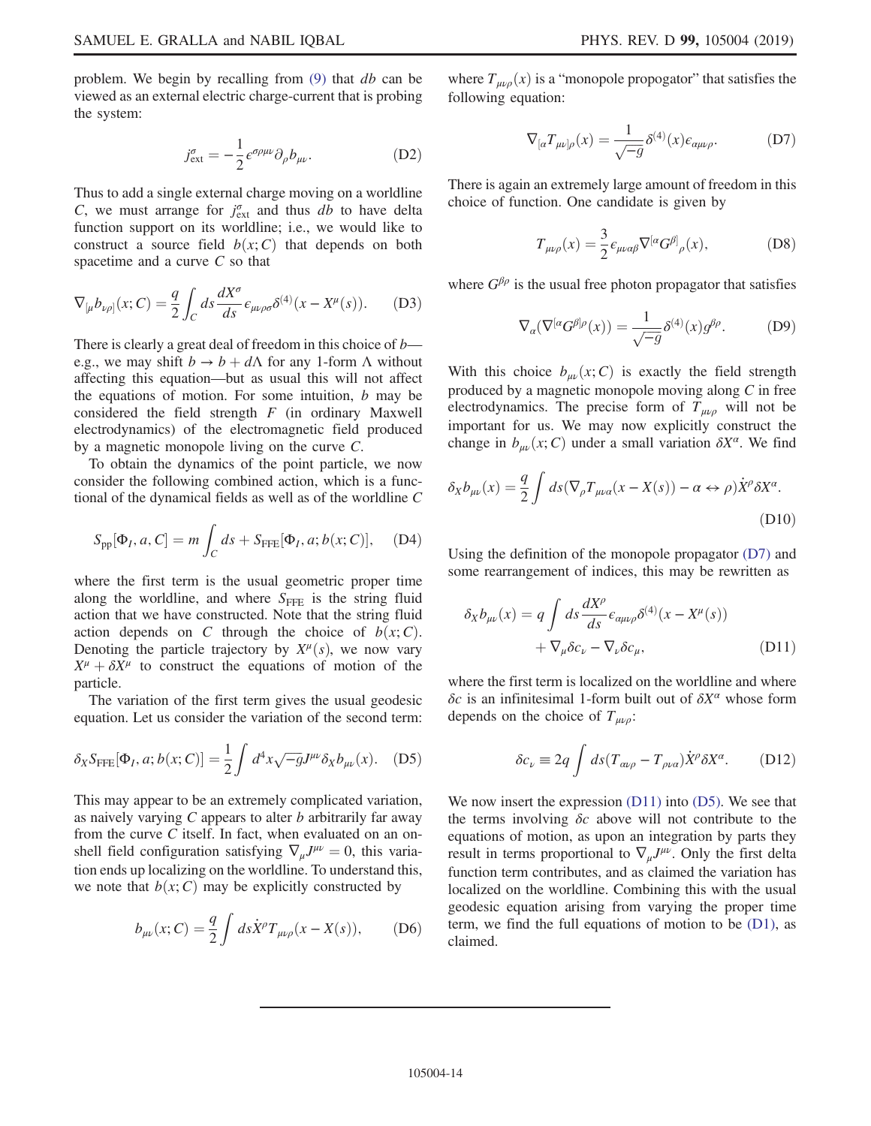problem. We begin by recalling from [\(9\)](#page-3-7) that db can be viewed as an external electric charge-current that is probing the system:

$$
j_{\text{ext}}^{\sigma} = -\frac{1}{2} \epsilon^{\sigma \rho \mu \nu} \partial_{\rho} b_{\mu \nu}.
$$
 (D2)

Thus to add a single external charge moving on a worldline C, we must arrange for  $j_{\text{ext}}^{\sigma}$  and thus db to have delta function support on its worldline; i.e., we would like to construct a source field  $b(x; C)$  that depends on both spacetime and a curve  $C$  so that

$$
\nabla_{[\mu} b_{\nu\rho]}(x; C) = \frac{q}{2} \int_C ds \frac{dX^{\sigma}}{ds} \epsilon_{\mu\nu\rho\sigma} \delta^{(4)}(x - X^{\mu}(s)). \tag{D3}
$$

There is clearly a great deal of freedom in this choice of  $b$  e.g., we may shift  $b \to b + d\Lambda$  for any 1-form  $\Lambda$  without affecting this equation—but as usual this will not affect the equations of motion. For some intuition,  $b$  may be considered the field strength  $F$  (in ordinary Maxwell electrodynamics) of the electromagnetic field produced by a magnetic monopole living on the curve C.

To obtain the dynamics of the point particle, we now consider the following combined action, which is a functional of the dynamical fields as well as of the worldline C

$$
S_{\text{pp}}[\Phi_I, a, C] = m \int_C ds + S_{\text{FFE}}[\Phi_I, a; b(x; C)], \quad (D4)
$$

where the first term is the usual geometric proper time along the worldline, and where  $S_{\text{FFE}}$  is the string fluid action that we have constructed. Note that the string fluid action depends on C through the choice of  $b(x;C)$ . Denoting the particle trajectory by  $X^{\mu}(s)$ , we now vary  $X^{\mu} + \delta X^{\mu}$  to construct the equations of motion of the particle.

<span id="page-14-2"></span>The variation of the first term gives the usual geodesic equation. Let us consider the variation of the second term:

$$
\delta_X S_{\text{FFE}}[\Phi_I, a; b(x; C)] = \frac{1}{2} \int d^4x \sqrt{-g} J^{\mu\nu} \delta_X b_{\mu\nu}(x). \quad (D5)
$$

This may appear to be an extremely complicated variation, as naively varying  $C$  appears to alter  $b$  arbitrarily far away from the curve C itself. In fact, when evaluated on an onshell field configuration satisfying  $\nabla_{\mu}J^{\mu\nu} = 0$ , this variation ends up localizing on the worldline. To understand this, we note that  $b(x; C)$  may be explicitly constructed by

$$
b_{\mu\nu}(x;C) = \frac{q}{2} \int ds \dot{X}^{\rho} T_{\mu\nu\rho}(x - X(s)), \quad (D6)
$$

<span id="page-14-0"></span>where  $T_{\mu\nu\rho}(x)$  is a "monopole propogator" that satisfies the following equation:

$$
\nabla_{[\alpha} T_{\mu\nu]\rho}(x) = \frac{1}{\sqrt{-g}} \delta^{(4)}(x) \epsilon_{\alpha\mu\nu\rho}.
$$
 (D7)

There is again an extremely large amount of freedom in this choice of function. One candidate is given by

$$
T_{\mu\nu\rho}(x) = \frac{3}{2} \epsilon_{\mu\nu\alpha\beta} \nabla^{[\alpha} G^{\beta]}_{\rho}(x), \tag{D8}
$$

where  $G^{\beta \rho}$  is the usual free photon propagator that satisfies

$$
\nabla_{\alpha}(\nabla^{[\alpha}G^{\beta]\rho}(x)) = \frac{1}{\sqrt{-g}} \delta^{(4)}(x) g^{\beta\rho}.
$$
 (D9)

With this choice  $b_{\mu\nu}(x; C)$  is exactly the field strength produced by a magnetic monopole moving along C in free electrodynamics. The precise form of  $T_{\mu\nu\rho}$  will not be important for us. We may now explicitly construct the change in  $b_{\mu\nu}(x; C)$  under a small variation  $\delta X^{\alpha}$ . We find

$$
\delta_X b_{\mu\nu}(x) = \frac{q}{2} \int ds (\nabla_\rho T_{\mu\nu\alpha}(x - X(s)) - \alpha \leftrightarrow \rho) \dot{X}^\rho \delta X^\alpha.
$$
\n(D10)

<span id="page-14-1"></span>Using the definition of the monopole propagator [\(D7\)](#page-14-0) and some rearrangement of indices, this may be rewritten as

$$
\delta_X b_{\mu\nu}(x) = q \int ds \frac{dX^{\rho}}{ds} \epsilon_{\alpha\mu\nu\rho} \delta^{(4)}(x - X^{\mu}(s)) + \nabla_{\mu} \delta c_{\nu} - \nabla_{\nu} \delta c_{\mu}, \tag{D11}
$$

where the first term is localized on the worldline and where δc is an infinitesimal 1-form built out of  $δX<sup>α</sup>$  whose form depends on the choice of  $T_{\mu\nu\rho}$ :

$$
\delta c_{\nu} \equiv 2q \int ds (T_{\alpha\nu\rho} - T_{\rho\nu\alpha}) \dot{X}^{\rho} \delta X^{\alpha}.
$$
 (D12)

We now insert the expression [\(D11\)](#page-14-1) into [\(D5\).](#page-14-2) We see that the terms involving  $\delta c$  above will not contribute to the equations of motion, as upon an integration by parts they result in terms proportional to  $\nabla_{\mu}J^{\mu\nu}$ . Only the first delta function term contributes, and as claimed the variation has localized on the worldline. Combining this with the usual geodesic equation arising from varying the proper time term, we find the full equations of motion to be  $(D1)$ , as claimed.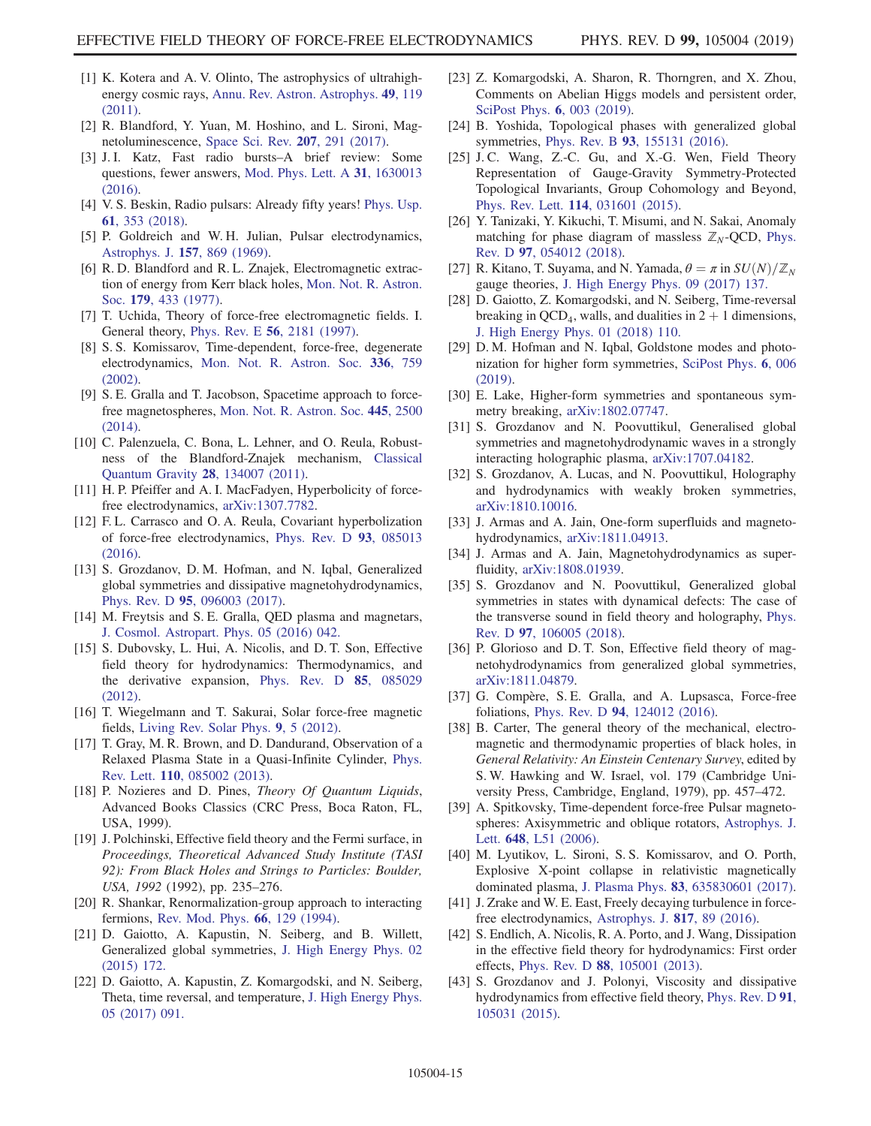- <span id="page-15-0"></span>[1] K. Kotera and A. V. Olinto, The astrophysics of ultrahighenergy cosmic rays, [Annu. Rev. Astron. Astrophys.](https://doi.org/10.1146/annurev-astro-081710-102620) 49, 119 [\(2011\).](https://doi.org/10.1146/annurev-astro-081710-102620)
- [2] R. Blandford, Y. Yuan, M. Hoshino, and L. Sironi, Magnetoluminescence, [Space Sci. Rev.](https://doi.org/10.1007/s11214-017-0376-2) 207, 291 (2017).
- [3] J. I. Katz, Fast radio bursts–A brief review: Some questions, fewer answers, [Mod. Phys. Lett. A](https://doi.org/10.1142/S0217732316300135) 31, 1630013 [\(2016\).](https://doi.org/10.1142/S0217732316300135)
- [4] V. S. Beskin, Radio pulsars: Already fifty years! [Phys. Usp.](https://doi.org/10.3367/UFNe.2017.10.038216) 61[, 353 \(2018\).](https://doi.org/10.3367/UFNe.2017.10.038216)
- <span id="page-15-1"></span>[5] P. Goldreich and W. H. Julian, Pulsar electrodynamics, [Astrophys. J.](https://doi.org/10.1086/150119) 157, 869 (1969).
- [6] R. D. Blandford and R. L. Znajek, Electromagnetic extraction of energy from Kerr black holes, [Mon. Not. R. Astron.](https://doi.org/10.1093/mnras/179.3.433) Soc. 179[, 433 \(1977\)](https://doi.org/10.1093/mnras/179.3.433).
- <span id="page-15-2"></span>[7] T. Uchida, Theory of force-free electromagnetic fields. I. General theory, Phys. Rev. E 56[, 2181 \(1997\)](https://doi.org/10.1103/PhysRevE.56.2181).
- <span id="page-15-3"></span>[8] S. S. Komissarov, Time-dependent, force-free, degenerate electrodynamics, [Mon. Not. R. Astron. Soc.](https://doi.org/10.1046/j.1365-8711.2002.05313.x) 336, 759 [\(2002\).](https://doi.org/10.1046/j.1365-8711.2002.05313.x)
- <span id="page-15-18"></span>[9] S. E. Gralla and T. Jacobson, Spacetime approach to forcefree magnetospheres, [Mon. Not. R. Astron. Soc.](https://doi.org/10.1093/mnras/stu1690) 445, 2500 [\(2014\).](https://doi.org/10.1093/mnras/stu1690)
- [10] C. Palenzuela, C. Bona, L. Lehner, and O. Reula, Robustness of the Blandford-Znajek mechanism, [Classical](https://doi.org/10.1088/0264-9381/28/13/134007) [Quantum Gravity](https://doi.org/10.1088/0264-9381/28/13/134007) 28, 134007 (2011).
- [11] H. P. Pfeiffer and A. I. MacFadyen, Hyperbolicity of forcefree electrodynamics, [arXiv:1307.7782](http://arXiv.org/abs/1307.7782).
- [12] F. L. Carrasco and O. A. Reula, Covariant hyperbolization of force-free electrodynamics, [Phys. Rev. D](https://doi.org/10.1103/PhysRevD.93.085013) 93, 085013 [\(2016\).](https://doi.org/10.1103/PhysRevD.93.085013)
- <span id="page-15-4"></span>[13] S. Grozdanov, D. M. Hofman, and N. Iqbal, Generalized global symmetries and dissipative magnetohydrodynamics, Phys. Rev. D 95[, 096003 \(2017\)](https://doi.org/10.1103/PhysRevD.95.096003).
- <span id="page-15-5"></span>[14] M. Freytsis and S. E. Gralla, QED plasma and magnetars, [J. Cosmol. Astropart. Phys. 05 \(2016\) 042.](https://doi.org/10.1088/1475-7516/2016/05/042)
- <span id="page-15-6"></span>[15] S. Dubovsky, L. Hui, A. Nicolis, and D. T. Son, Effective field theory for hydrodynamics: Thermodynamics, and the derivative expansion, [Phys. Rev. D](https://doi.org/10.1103/PhysRevD.85.085029) 85, 085029 [\(2012\).](https://doi.org/10.1103/PhysRevD.85.085029)
- <span id="page-15-7"></span>[16] T. Wiegelmann and T. Sakurai, Solar force-free magnetic fields, [Living Rev. Solar Phys.](https://doi.org/10.12942/lrsp-2012-5) 9, 5 (2012).
- <span id="page-15-8"></span>[17] T. Gray, M. R. Brown, and D. Dandurand, Observation of a Relaxed Plasma State in a Quasi-Infinite Cylinder, [Phys.](https://doi.org/10.1103/PhysRevLett.110.085002) Rev. Lett. 110[, 085002 \(2013\).](https://doi.org/10.1103/PhysRevLett.110.085002)
- <span id="page-15-9"></span>[18] P. Nozieres and D. Pines, Theory Of Quantum Liquids, Advanced Books Classics (CRC Press, Boca Raton, FL, USA, 1999).
- <span id="page-15-10"></span>[19] J. Polchinski, Effective field theory and the Fermi surface, in Proceedings, Theoretical Advanced Study Institute (TASI 92): From Black Holes and Strings to Particles: Boulder, USA, 1992 (1992), pp. 235–276.
- <span id="page-15-11"></span>[20] R. Shankar, Renormalization-group approach to interacting fermions, [Rev. Mod. Phys.](https://doi.org/10.1103/RevModPhys.66.129) 66, 129 (1994).
- [21] D. Gaiotto, A. Kapustin, N. Seiberg, and B. Willett, Generalized global symmetries, [J. High Energy Phys. 02](https://doi.org/10.1007/JHEP02(2015)172) [\(2015\) 172.](https://doi.org/10.1007/JHEP02(2015)172)
- <span id="page-15-12"></span>[22] D. Gaiotto, A. Kapustin, Z. Komargodski, and N. Seiberg, Theta, time reversal, and temperature, [J. High Energy Phys.](https://doi.org/10.1007/JHEP05(2017)091) [05 \(2017\) 091.](https://doi.org/10.1007/JHEP05(2017)091)
- [23] Z. Komargodski, A. Sharon, R. Thorngren, and X. Zhou, Comments on Abelian Higgs models and persistent order, [SciPost Phys.](https://doi.org/10.21468/SciPostPhys.6.1.003) **6**, 003 (2019).
- [24] B. Yoshida, Topological phases with generalized global symmetries, Phys. Rev. B 93[, 155131 \(2016\).](https://doi.org/10.1103/PhysRevB.93.155131)
- [25] J.C. Wang, Z.-C. Gu, and X.-G. Wen, Field Theory Representation of Gauge-Gravity Symmetry-Protected Topological Invariants, Group Cohomology and Beyond, Phys. Rev. Lett. 114[, 031601 \(2015\).](https://doi.org/10.1103/PhysRevLett.114.031601)
- [26] Y. Tanizaki, Y. Kikuchi, T. Misumi, and N. Sakai, Anomaly matching for phase diagram of massless  $\mathbb{Z}_N$ -QCD, [Phys.](https://doi.org/10.1103/PhysRevD.97.054012) Rev. D 97[, 054012 \(2018\)](https://doi.org/10.1103/PhysRevD.97.054012).
- [27] R. Kitano, T. Suyama, and N. Yamada,  $\theta = \pi$  in  $SU(N)/\mathbb{Z}_N$ gauge theories, [J. High Energy Phys. 09 \(2017\) 137.](https://doi.org/10.1007/JHEP09(2017)137)
- [28] D. Gaiotto, Z. Komargodski, and N. Seiberg, Time-reversal breaking in QCD<sub>4</sub>, walls, and dualities in  $2 + 1$  dimensions, [J. High Energy Phys. 01 \(2018\) 110.](https://doi.org/10.1007/JHEP01(2018)110)
- [29] D. M. Hofman and N. Iqbal, Goldstone modes and photonization for higher form symmetries, [SciPost Phys.](https://doi.org/10.21468/SciPostPhys.6.1.006) 6, 006 [\(2019\).](https://doi.org/10.21468/SciPostPhys.6.1.006)
- [30] E. Lake, Higher-form symmetries and spontaneous symmetry breaking, [arXiv:1802.07747.](http://arXiv.org/abs/1802.07747)
- [31] S. Grozdanov and N. Poovuttikul, Generalised global symmetries and magnetohydrodynamic waves in a strongly interacting holographic plasma, [arXiv:1707.04182.](http://arXiv.org/abs/1707.04182)
- [32] S. Grozdanov, A. Lucas, and N. Poovuttikul, Holography and hydrodynamics with weakly broken symmetries, [arXiv:1810.10016.](http://arXiv.org/abs/1810.10016)
- [33] J. Armas and A. Jain, One-form superfluids and magnetohydrodynamics, [arXiv:1811.04913.](http://arXiv.org/abs/1811.04913)
- [34] J. Armas and A. Jain, Magnetohydrodynamics as superfluidity, [arXiv:1808.01939](http://arXiv.org/abs/1808.01939).
- [35] S. Grozdanov and N. Poovuttikul, Generalized global symmetries in states with dynamical defects: The case of the transverse sound in field theory and holography, [Phys.](https://doi.org/10.1103/PhysRevD.97.106005) Rev. D 97[, 106005 \(2018\)](https://doi.org/10.1103/PhysRevD.97.106005).
- <span id="page-15-17"></span>[36] P. Glorioso and D. T. Son, Effective field theory of magnetohydrodynamics from generalized global symmetries, [arXiv:1811.04879.](http://arXiv.org/abs/1811.04879)
- <span id="page-15-13"></span>[37] G. Compère, S. E. Gralla, and A. Lupsasca, Force-free foliations, Phys. Rev. D 94[, 124012 \(2016\).](https://doi.org/10.1103/PhysRevD.94.124012)
- [38] B. Carter, The general theory of the mechanical, electromagnetic and thermodynamic properties of black holes, in General Relativity: An Einstein Centenary Survey, edited by S. W. Hawking and W. Israel, vol. 179 (Cambridge University Press, Cambridge, England, 1979), pp. 457–472.
- <span id="page-15-14"></span>[39] A. Spitkovsky, Time-dependent force-free Pulsar magnetospheres: Axisymmetric and oblique rotators, [Astrophys. J.](https://doi.org/10.1086/507518) Lett. 648[, L51 \(2006\)](https://doi.org/10.1086/507518).
- <span id="page-15-15"></span>[40] M. Lyutikov, L. Sironi, S. S. Komissarov, and O. Porth, Explosive X-point collapse in relativistic magnetically dominated plasma, J. Plasma Phys. 83[, 635830601 \(2017\).](https://doi.org/10.1017/S0022377817000629)
- <span id="page-15-19"></span><span id="page-15-16"></span>[41] J. Zrake and W. E. East, Freely decaying turbulence in forcefree electrodynamics, [Astrophys. J.](https://doi.org/10.3847/0004-637X/817/2/89) 817, 89 (2016).
- [42] S. Endlich, A. Nicolis, R. A. Porto, and J. Wang, Dissipation in the effective field theory for hydrodynamics: First order effects, Phys. Rev. D 88[, 105001 \(2013\).](https://doi.org/10.1103/PhysRevD.88.105001)
- [43] S. Grozdanov and J. Polonyi, Viscosity and dissipative hydrodynamics from effective field theory, [Phys. Rev. D](https://doi.org/10.1103/PhysRevD.91.105031) 91, [105031 \(2015\).](https://doi.org/10.1103/PhysRevD.91.105031)